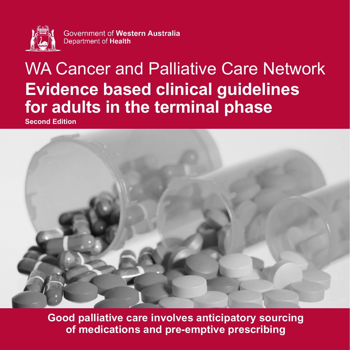

Government of Western Australia Department of Health

# WA Cancer and Palliative Care Network **Evidence based clinical guidelines for adults in the terminal phase Second Edition**



**Good palliative care involves anticipatory sourcing of medications and pre-emptive prescribing**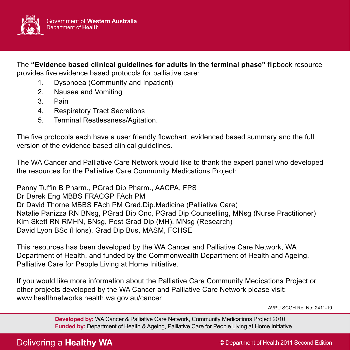

The **"Evidence based clinical guidelines for adults in the terminal phase"** flipbook resource provides five evidence based protocols for palliative care:

- 1. Dyspnoea (Community and Inpatient)
- 2. Nausea and Vomiting
- 3. Pain
- 4. Respiratory Tract Secretions
- 5. Terminal Restlessness/Agitation.

The five protocols each have a user friendly flowchart, evidenced based summary and the full version of the evidence based clinical guidelines.

The WA Cancer and Palliative Care Network would like to thank the expert panel who developed the resources for the Palliative Care Community Medications Project:

Penny Tuffin B Pharm., PGrad Dip Pharm., AACPA, FPS Dr Derek Eng MBBS FRACGP FAch PM Dr David Thorne MBBS FAch PM Grad.Dip.Medicine (Palliative Care) Natalie Panizza RN BNsg, PGrad Dip Onc, PGrad Dip Counselling, MNsg (Nurse Practitioner) Kim Skett RN RMHN, BNsg, Post Grad Dip (MH), MNsg (Research) David Lyon BSc (Hons), Grad Dip Bus, MASM, FCHSE

This resources has been developed by the WA Cancer and Palliative Care Network, WA Department of Health, and funded by the Commonwealth Department of Health and Ageing, Palliative Care for People Living at Home Initiative.

If you would like more information about the Palliative Care Community Medications Project or other projects developed by the WA Cancer and Palliative Care Network please visit: www.healthnetworks.health.wa.gov.au/cancer

AVPU SCGH Ref No: 2411-10

**Developed by:** WA Cancer & Palliative Care Network, Community Medications Project 2010 **Funded by:** Department of Health & Ageing, Palliative Care for People Living at Home Initiative

Delivering a **Healthy WA** 

© Department of Health 2011 Second Edition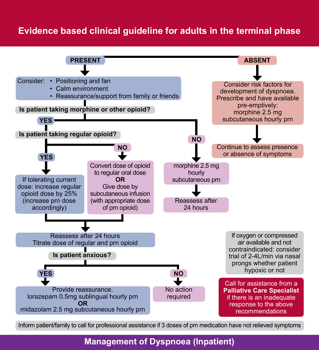# **Evidence based clinical guideline for adults in the terminal phase**



Inform patient/family to call for professional assistance if 3 doses of prn medication have not relieved symptoms

### **Management of Dyspnoea (Inpatient)**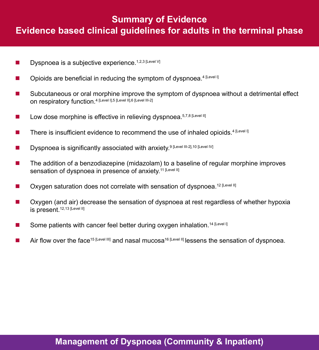# **Summary of Evidence Evidence based clinical guidelines for adults in the terminal phase**

- **Dyspnoea is a subjective experience.** 1,2,3 [Level V]
- $\Box$  Opioids are beneficial in reducing the symptom of dyspnoea.<sup>4 [Level I]</sup>
- Subcutaneous or oral morphine improve the symptom of dyspnoea without a detrimental effect on respiratory function.4 [Level I],5 [Level II],6 [Level III-2]
- $\blacksquare$  Low dose morphine is effective in relieving dyspnoea.<sup>5,7,8 [Level II]</sup>
- There is insufficient evidence to recommend the use of inhaled opioids.<sup>4 [Level I]</sup>
- Dyspnoea is significantly associated with anxiety.<sup>9 [Level III-2],10</sup> [Level IV]
- $\blacksquare$  The addition of a benzodiazepine (midazolam) to a baseline of regular morphine improves sensation of dyspnoea in presence of anxiety.<sup>11 [Level II]</sup>
- **De Concernstand Symmum Correlate Symmum Concernsi**ve Dyspnoea.<sup>12 [Level II]</sup>
- Oxygen (and air) decrease the sensation of dyspnoea at rest regardless of whether hypoxia is present.12,13 [Level II]
- Some patients with cancer feel better during oxygen inhalation.<sup>14 [Level I]</sup>
- Air flow over the face<sup>15 [Level III]</sup> and nasal mucosa<sup>16 [Level II] lessens the sensation of dyspnoea.</sup>

### **Management of Dyspnoea (Community & Inpatient)**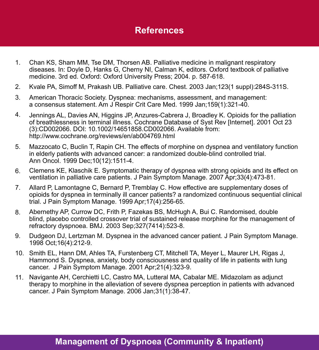- Chan KS, Sham MM, Tse DM, Thorsen AB. Palliative medicine in malignant respiratory diseases. In: Doyle D, Hanks G, Cherny NI, Calman K, editors. Oxford textbook of palliative medicine. 3rd ed. Oxford: Oxford University Press; 2004. p. 587-618. 1.
- Kvale PA, Simoff M, Prakash UB. Palliative care. Chest. 2003 Jan;123(1 suppl):284S-311S. 2.
- American Thoracic Society. Dyspnea: mechanisms, assessment, and management: a consensus statement. Am J Respir Crit Care Med. 1999 Jan;159(1):321-40. 3.
- Jennings AL, Davies AN, Higgins JP, Anzures-Cabrera J, Broadley K. Opioids for the palliation of breathlessness in terminal illness. Cochrane Database of Syst Rev [Internet]. 2001 Oct 23 (3):CD002066. DOI: 10.1002/14651858.CD002066. Available from: http://www.cochrane.org/reviews/en/ab004769.html 4.
- Mazzocato C, Buclin T, Rapin CH. The effects of morphine on dyspnea and ventilatory function in elderly patients with advanced cancer: a randomized double-blind controlled trial. Ann Oncol. 1999 Dec;10(12):1511-4. 5.
- Clemens KE, Klaschik E. Symptomatic therapy of dyspnea with strong opioids and its effect on ventilation in palliative care patients. J Pain Symptom Manage. 2007 Apr;33(4):473-81. 6.
- Allard P, Lamontagne C, Bernard P, Tremblay C. How effective are supplementary doses of opioids for dyspnea in terminally ill cancer patients? a randomized continuous sequential clinical trial. J Pain Symptom Manage. 1999 Apr;17(4):256-65. 7.
- Abernethy AP, Currow DC, Frith P, Fazekas BS, McHugh A, Bui C. Randomised, double blind, placebo controlled crossover trial of sustained release morphine for the management of refractory dyspnoea. BMJ. 2003 Sep;327(7414):523-8. 8.
- Dudgeon DJ, Lertzman M. Dyspnea in the advanced cancer patient. J Pain Symptom Manage. 1998 Oct;16(4):212-9. 9.
- 10. Smith EL, Hann DM, Ahles TA, Furstenberg CT, Mitchell TA, Meyer L, Maurer LH, Rigas J, Hammond S. Dyspnea, anxiety, body consciousness and quality of life in patients with lung cancer. J Pain Symptom Manage. 2001 Apr;21(4):323-9.
- Navigante AH, Cerchietti LC, Castro MA, Lutteral MA, Cabalar ME. Midazolam as adjunct therapy to morphine in the alleviation of severe dyspnea perception in patients with advanced cancer. J Pain Symptom Manage. 2006 Jan;31(1):38-47. 11.

### **Management of Dyspnoea (Community & Inpatient)**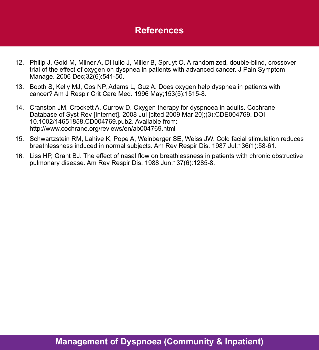- 12. Philip J, Gold M, Milner A, Di Iulio J, Miller B, Spruyt O. A randomized, double-blind, crossover trial of the effect of oxygen on dyspnea in patients with advanced cancer. J Pain Symptom Manage. 2006 Dec;32(6):541-50.
- 13. Booth S, Kelly MJ, Cos NP, Adams L, Guz A. Does oxygen help dyspnea in patients with cancer? Am J Respir Crit Care Med. 1996 May;153(5):1515-8.
- 14. Cranston JM, Crockett A, Currow D. Oxygen therapy for dyspnoea in adults. Cochrane Database of Syst Rev [Internet]. 2008 Jul [cited 2009 Mar 20];(3):CDE004769. DOI: 10.1002/14651858.CD004769.pub2. Available from: http://www.cochrane.org/reviews/en/ab004769.html
- 15. Schwartzstein RM, Lahive K, Pope A, Weinberger SE, Weiss JW. Cold facial stimulation reduces breathlessness induced in normal subjects. Am Rev Respir Dis. 1987 Jul;136(1):58-61.
- 16. Liss HP, Grant BJ. The effect of nasal flow on breathlessness in patients with chronic obstructive pulmonary disease. Am Rev Respir Dis. 1988 Jun;137(6):1285-8.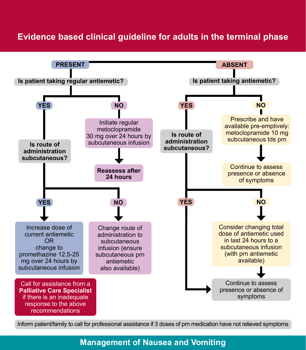# **Evidence based clinical guideline for adults in the terminal phase**



Inform patient/family to call for professional assistance if 3 doses of prn medication have not relieved symptoms

# **Management of Nausea and Vomiting**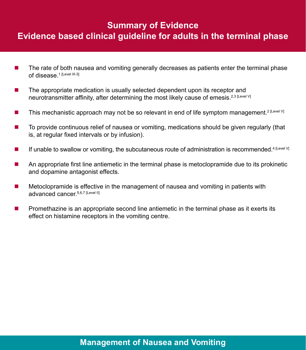# **Summary of Evidence Evidence based clinical guideline for adults in the terminal phase**

- The rate of both nausea and vomiting generally decreases as patients enter the terminal phase of disease.<sup>1 [Level III-3]</sup>
- $\blacksquare$  The appropriate medication is usually selected dependent upon its receptor and neurotransmitter affinity, after determining the most likely cause of emesis.<sup>2,3 [Level V]</sup>
- This mechanistic approach may not be so relevant in end of life symptom management.<sup>2 [Level V]</sup>
- To provide continuous relief of nausea or vomiting, medications should be given regularly (that is, at regular fixed intervals or by infusion).
- If unable to swallow or vomiting, the subcutaneous route of administration is recommended.<sup>4 [Level V]</sup>
- An appropriate first line antiemetic in the terminal phase is metoclopramide due to its prokinetic and dopamine antagonist effects.
- **Metoclopramide is effective in the management of nausea and vomiting in patients with** advanced cancer. 5,6,7 [Level II]
- **Promethazine is an appropriate second line antiemetic in the terminal phase as it exerts its** effect on histamine receptors in the vomiting centre.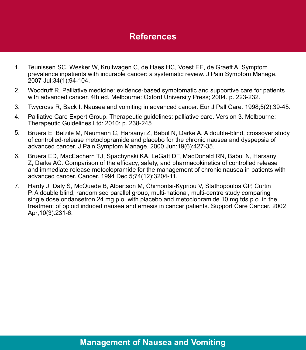- Teunissen SC, Wesker W, Kruitwagen C, de Haes HC, Voest EE, de Graeff A. Symptom prevalence inpatients with incurable cancer: a systematic review. J Pain Symptom Manage. 2007 Jul;34(1):94-104. 1.
- Woodruff R. Palliative medicine: evidence-based symptomatic and supportive care for patients with advanced cancer. 4th ed. Melbourne: Oxford University Press; 2004. p. 223-232. 2.
- Twycross R, Back I. Nausea and vomiting in advanced cancer. Eur J Pall Care. 1998;5(2):39-45. 3.
- Palliative Care Expert Group. Therapeutic guidelines: palliative care. Version 3. Melbourne: Therapeutic Guidelines Ltd: 2010: p. 238-245 4.
- Bruera E, Belzile M, Neumann C, Harsanyi Z, Babul N, Darke A. A double-blind, crossover study of controlled-release metoclopramide and placebo for the chronic nausea and dyspepsia of advanced cancer. J Pain Symptom Manage. 2000 Jun:19(6):427-35. 5.
- Bruera ED, MacEachern TJ, Spachynski KA, LeGatt DF, MacDonald RN, Babul N, Harsanyi Z, Darke AC. Comparison of the efficacy, safety, and pharmacokinetics of controlled release and immediate release metoclopramide for the management of chronic nausea in patients with advanced cancer. Cancer. 1994 Dec 5;74(12):3204-11. 6.
- Hardy J, Daly S, McQuade B, Albertson M, Chimontsi-Kypriou V, Stathopoulos GP, Curtin P. A double blind, randomised parallel group, multi-national, multi-centre study comparing single dose ondansetron 24 mg p.o. with placebo and metoclopramide 10 mg tds p.o. in the treatment of opioid induced nausea and emesis in cancer patients. Support Care Cancer. 2002 Apr;10(3):231-6. 7.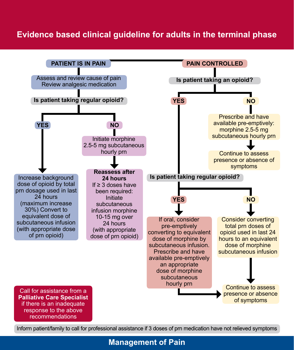# **Evidence based clinical guideline for adults in the terminal phase**



Inform patient/family to call for professional assistance if 3 doses of prn medication have not relieved symptoms

### **Management of Pain**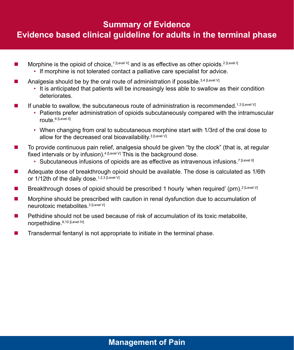### **Summary of Evidence**

# **Evidence based clinical guideline for adults in the terminal phase**

- Morphine is the opioid of choice,<sup>1 [Level V]</sup> and is as effective as other opioids.<sup>2 [Level I]</sup>
	- If morphine is not tolerated contact a palliative care specialist for advice.
- Analgesia should be by the oral route of administration if possible.<sup>3,4 [Level V]</sup>
	- It is anticipated that patients will be increasingly less able to swallow as their condition deteriorates.
- If unable to swallow, the subcutaneous route of administration is recommended.<sup>1,3 [Level V]</sup>
	- Patients prefer administration of opioids subcutaneously compared with the intramuscular route.<sup>6</sup> [Level II]
	- When changing from oral to subcutaneous morphine start with 1/3rd of the oral dose to allow for the decreased oral bioavailability.<sup>3 [Level V]</sup>
- To provide continuous pain relief, analgesia should be given "by the clock" (that is, at regular fixed intervals or by infusion).  $4$  [Level V] This is the background dose.
	- Subcutaneous infusions of opioids are as effective as intravenous infusions.<sup>7 [Level II]</sup>
- Adequate dose of breakthrough opioid should be available. The dose is calculated as 1/6th or 1/12th of the daily dose.<sup>1,2,3 [Level V]</sup>
- Breakthrough doses of opioid should be prescribed 1 hourly 'when required' (prn).<sup>2 [Level V]</sup>
- **Morphine should be prescribed with caution in renal dysfunction due to accumulation of** neurotoxic metabolites.<sup>3 [Level V]</sup>
- $\blacksquare$  Pethidine should not be used because of risk of accumulation of its toxic metabolite. norpethidine.9,10 [Level IV]
- $\blacksquare$  Transdermal fentanyl is not appropriate to initiate in the terminal phase.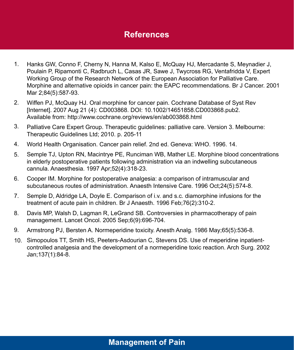- Hanks GW, Conno F, Cherny N, Hanna M, Kalso E, McQuay HJ, Mercadante S, Meynadier J, Poulain P, Ripamonti C, Radbruch L, Casas JR, Sawe J, Twycross RG, Ventafridda V, Expert Working Group of the Research Network of the European Association for Palliative Care. Morphine and alternative opioids in cancer pain: the EAPC recommendations. Br J Cancer. 2001 Mar 2;84(5):587-93. 1.
- Wiffen PJ, McQuay HJ. Oral morphine for cancer pain. Cochrane Database of Syst Rev [Internet]. 2007 Aug 21 (4): CD003868. DOI: 10.1002/14651858.CD003868.pub2. Available from: http://www.cochrane.org/reviews/en/ab003868.html 2.
- Palliative Care Expert Group. Therapeutic guidelines: palliative care. Version 3. Melbourne: Therapeutic Guidelines Ltd; 2010. p. 205-11 3.
- World Health Organisation. Cancer pain relief. 2nd ed. Geneva: WHO. 1996. 14. 4.
- Semple TJ, Upton RN, Macintrye PE, Runciman WB, Mather LE. Morphine blood concentrations in elderly postoperative patients following administration via an indwelling subcutaneous cannula. Anaesthesia. 1997 Apr;52(4):318-23. 5.
- Cooper IM. Morphine for postoperative analgesia: a comparison of intramuscular and subcutaneous routes of administration. Anaesth Intensive Care. 1996 Oct;24(5):574-8. 6.
- Semple D, Aldridge LA, Doyle E. Comparison of i.v. and s.c. diamorphine infusions for the treatment of acute pain in children. Br J Anaesth. 1996 Feb;76(2):310-2. 7.
- Davis MP, Walsh D, Lagman R, LeGrand SB. Controversies in pharmacotherapy of pain management. Lancet Oncol. 2005 Sep;6(9):696-704. 8.
- Armstrong PJ, Bersten A. Normeperidine toxicity. Anesth Analg. 1986 May;65(5):536-8. 9.
- 10. Simopoulos TT, Smith HS, Peeters-Asdourian C, Stevens DS. Use of meperidine inpatientcontrolled analgesia and the development of a normeperidine toxic reaction. Arch Surg. 2002 Jan;137(1):84-8.

# **Management of Pain**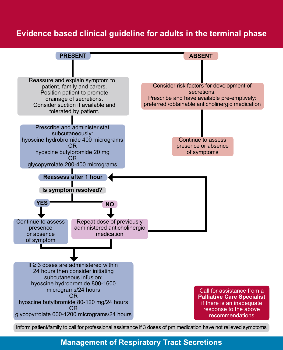# **Evidence based clinical guideline for adults in the terminal phase**



Inform patient/family to call for professional assistance if 3 doses of prn medication have not relieved symptoms

### **Management of Respiratory Tract Secretions**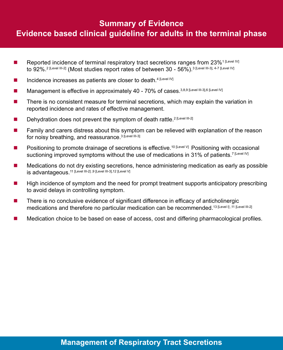# **Summary of Evidence Evidence based clinical guideline for adults in the terminal phase**

- Reported incidence of terminal respiratory tract secretions ranges from 23%<sup>1 [Level IV]</sup> to 92%.<sup>2 [Level III-2]</sup> (Most studies report rates of between 30 - 56%).<sup>3 [Level III-3], 4-7 [Level IV]</sup>
- Incidence increases as patients are closer to death.<sup>4 [Level IV]</sup>
- Management is effective in approximately 40 70% of cases. 3,8,9 [Level III-3],6 [Level IV]
- **There is no consistent measure for terminal secretions, which may explain the variation in** reported incidence and rates of effective management.
- Dehydration does not prevent the symptom of death rattle.<sup>2 [Level III-2]</sup>
- **Family and carers distress about this symptom can be relieved with explanation of the reason** for noisy breathing, and reassurance.<sup>3 [Level III-3]</sup>
- **Positioning to promote drainage of secretions is effective.**<sup>10 [Level V]</sup> Positioning with occasional suctioning improved symptoms without the use of medications in 31% of patients.<sup>7 [Level IV]</sup>
- Medications do not dry existing secretions, hence administering medication as early as possible is advantageous.11 [Level III-2] ,9 [Level III-3],12 [Level V]
- High incidence of symptom and the need for prompt treatment supports anticipatory prescribing to avoid delays in controlling symptom.
- There is no conclusive evidence of significant difference in efficacy of anticholinergic medications and therefore no particular medication can be recommended.<sup>13 [Level I]</sup>, <sup>11</sup> [Level III-2]
- **Medication choice to be based on ease of access, cost and differing pharmacological profiles.**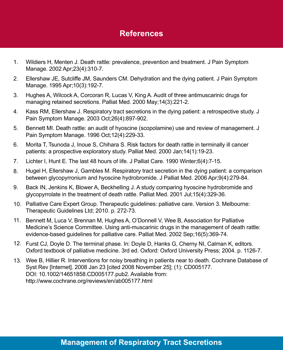- Wildiers H, Menten J. Death rattle: prevalence, prevention and treatment. J Pain Symptom Manage. 2002 Apr;23(4):310-7. 1.
- Ellershaw JE, Sutcliffe JM, Saunders CM. Dehydration and the dying patient. J Pain Symptom Manage. 1995 Apr;10(3):192-7. 2.
- Hughes A, Wilcock A, Corcoran R, Lucas V, King A. Audit of three antimuscarinic drugs for managing retained secretions. Palliat Med. 2000 May;14(3):221-2. 3.
- Kass RM, Ellershaw J. Respiratory tract secretions in the dying patient: a retrospective study. J Pain Symptom Manage. 2003 Oct;26(4):897-902. 4.
- Bennett MI. Death rattle: an audit of hyoscine (scopolamine) use and review of management. J Pain Symptom Manage. 1996 Oct;12(4):229-33. 5.
- Morita T, Tsunoda J, Inoue S, Chihara S. Risk factors for death rattle in terminally ill cancer patients: a prospective exploratory study. Palliat Med. 2000 Jan;14(1):19-23. 6.
- Lichter I, Hunt E. The last 48 hours of life. J Palliat Care. 1990 Winter;6(4):7-15. 7.
- Hugel H, Ellershaw J, Gambles M. Respiratory tract secretion in the dying patient: a comparison between glycopyrronium and hyoscine hydrobromide. J Palliat Med. 2006 Apr;9(4):279-84. 8.
- Back IN, Jenkins K, Blower A, Beckhelling J. A study comparing hyoscine hydrobromide and glycopyrrolate in the treatment of death rattle. Palliat Med. 2001 Jul;15(4):329-36. 9.
- 10. Palliative Care Expert Group. Therapeutic guidelines: palliative care. Version 3. Melbourne: Therapeutic Guidelines Ltd; 2010. p. 272-73.
- 11. Bennett M, Luca V, Brennan M, Hughes A, O'Donnell V, Wee B, Association for Palliative Medicine's Science Committee. Using anti-muscarinic drugs in the management of death rattle: evidence-based guidelines for palliative care. Palliat Med. 2002 Sep;16(5):369-74.
- Furst CJ, Doyle D. The terminal phase. In: Doyle D, Hanks G, Cherny NI, Calman K, editors. 12. Oxford textbook of palliative medicine. 3rd ed. Oxford: Oxford University Press; 2004. p. 1126-7.
- Wee B, Hillier R. Interventions for noisy breathing in patients near to death. Cochrane Database of 13.Syst Rev [Internet]. 2008 Jan 23 [cited 2008 November 25]; (1): CD005177. DOI: 10.1002/14651858.CD005177.pub2. Available from: http://www.cochrane.org/reviews/en/ab005177.html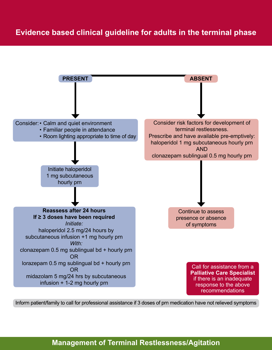

Inform patient/family to call for professional assistance if 3 doses of prn medication have not relieved symptoms

# **Management of Terminal Restlessness/Agitation**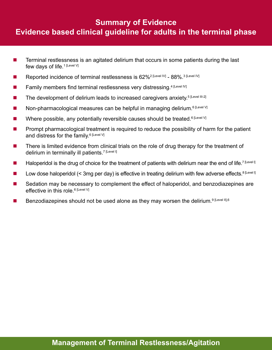# **Summary of Evidence Evidence based clinical guideline for adults in the terminal phase**

- **Terminal restlessness is an agitated delirium that occurs in some patients during the last** few days of life.<sup>1 [Level V]</sup>
- Reported incidence of terminal restlessness is 62%<sup>2 [Level IV]</sup> 88%.<sup>3 [Level IV]</sup>
- Family members find terminal restlessness very distressing.<sup>4 [Level IV]</sup>
- The development of delirium leads to increased caregivers anxiety.<sup>5 [Level III-2]</sup>
- Non-pharmacological measures can be helpful in managing delirium.<sup>6 [Level V]</sup>
- Where possible, any potentially reversible causes should be treated.<sup>6 [Level V]</sup>
- **Prompt pharmacological treatment is required to reduce the possibility of harm for the patient** and distress for the family.<sup>6 [Level V]</sup>
- **There is limited evidence from clinical trials on the role of drug therapy for the treatment of** delirium in terminally ill patients.<sup>7 [Level I]</sup>
- Haloperidol is the drug of choice for the treatment of patients with delirium near the end of life.<sup>7 [Level I]</sup>
- Low dose haloperidol (< 3mg per day) is effective in treating delirium with few adverse effects.<sup>8 [Level I]</sup>
- Sedation may be necessary to complement the effect of haloperidol, and benzodiazepines are effective in this role.<sup>6 [Level V]</sup>
- Benzodiazepines should not be used alone as they may worsen the delirium.<sup>9 [Level II],6</sup>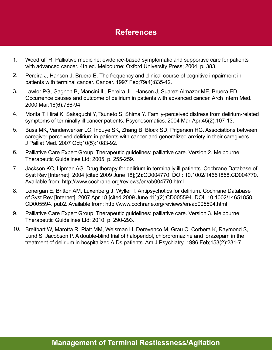- Woodruff R. Palliative medicine: evidence-based symptomatic and supportive care for patients with advanced cancer. 4th ed. Melbourne: Oxford University Press; 2004. p. 383. 1.
- Pereira J, Hanson J, Bruera E. The frequency and clinical course of cognitive impairment in patients with terminal cancer. Cancer. 1997 Feb;79(4):835-42. 2.
- Lawlor PG, Gagnon B, Mancini IL, Pereira JL, Hanson J, Suarez-Almazor ME, Bruera ED. Occurrence causes and outcome of delirium in patients with advanced cancer. Arch Intern Med. 2000 Mar;16(6):786-94. 3.
- Morita T, Hirai K, Sakaguchi Y, Tsuneto S, Shima Y. Family-perceived distress from delirium-related symptoms of terminally ill cancer patients. Psychosomatics. 2004 Mar-Apr;45(2):107-13. 4.
- Buss MK, Vanderwerker LC, Inouye SK, Zhang B, Block SD, Prigerson HG. Associations between caregiver-perceived delirium in patients with cancer and generalized anxiety in their caregivers. J Palliat Med. 2007 Oct;10(5):1083-92. 5.
- Palliative Care Expert Group. Therapeutic guidelines: palliative care. Version 2. Melbourne: Therapeutic Guidelines Ltd; 2005. p. 255-259. 6.
- Jackson KC, Lipman AG. Drug therapy for delirium in terminally ill patients. Cochrane Database of Syst Rev [Internet]. 2004 [cited 2009 June 18];(2):CD004770. DOI: 10.1002/14651858.CD004770. Available from: http://www.cochrane.org/reviews/en/ab004770.html 7.
- Lonergan E, Britton AM, Luxenberg J, Wyller T. Antipsychotics for delirium. Cochrane Database of Syst Rev [Internet]. 2007 Apr 18 [cited 2009 June 11];(2):CD005594. DOI: 10.1002/14651858. CD005594. pub2. Available from: http://www.cochrane.org/reviews/en/ab005594.html 8.
- Palliative Care Expert Group. Therapeutic guidelines: palliative care. Version 3. Melbourne: Therapeutic Guidelines Ltd: 2010. p. 290-293. 9.
- 10. Breitbart W, Marotta R, Platt MM, Weisman H, Derevenco M, Grau C, Corbera K, Raymond S, Lund S, Jacobson P. A double-blind trial of haloperidol, chlorpromazine and lorazepam in the treatment of delirium in hospitalized AIDs patients. Am J Psychiatry. 1996 Feb;153(2):231-7.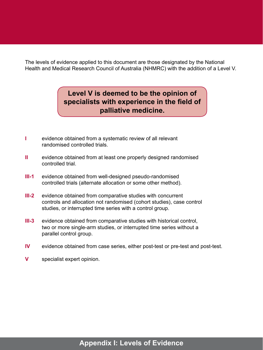The levels of evidence applied to this document are those designated by the National Health and Medical Research Council of Australia (NHMRC) with the addition of a Level V.

# **Level V is deemed to be the opinion of specialists with experience in the field of palliative medicine.**

- **I** evidence obtained from a systematic review of all relevant randomised controlled trials.
- **II** evidence obtained from at least one properly designed randomised controlled trial.
- **III-1** evidence obtained from well-designed pseudo-randomised controlled trials (alternate allocation or some other method).
- **III-2** evidence obtained from comparative studies with concurrent controls and allocation not randomised (cohort studies), case control studies, or interrupted time series with a control group.
- **III-3** evidence obtained from comparative studies with historical control, two or more single-arm studies, or interrupted time series without a parallel control group.
- **IV** evidence obtained from case series, either post-test or pre-test and post-test.
- **V** specialist expert opinion.

# **Appendix I: Levels of Evidence**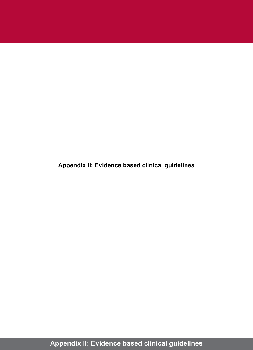**Appendix II: Evidence based clinical guidelines**

**Appendix II: Evidence based clinical guidelines**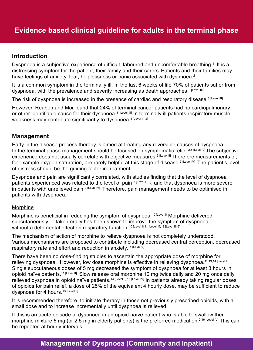### **Introduction**

Dyspnoea is a subjective experience of difficult, laboured and uncomfortable breathing.<sup>1</sup> It is a distressing symptom for the patient, their family and their carers. Patients and their families may have feelings of anxiety, fear, helplessness or panic associated with dyspnoea.<sup>2</sup>

It is a common symptom in the terminally ill. In the last 6 weeks of life 70% of patients suffer from dyspnoea, with the prevalence and severity increasing as death approaches.<sup>3 [Level III]</sup>

The risk of dyspnoea is increased in the presence of cardiac and respiratory disease.<sup>3 [Level III]</sup>

However, Reuben and Mor found that 24% of terminal cancer patients had no cardiopulmonary or other identifiable cause for their dyspnoea.<sup>3 [Level III]</sup> In terminally ill patients respiratory muscle weakness may contribute significantly to dyspnoea.<sup>4 [Level III-2]</sup>

### **Management**

Early in the disease process therapy is aimed at treating any reversible causes of dyspnoea. In the terminal phase management should be focused on symptomatic relief.<sup>2,5 [Level V]</sup> The subjective experience does not usually correlate with objective measures.<sup>6 [Level II]</sup> Therefore measurements of, for example oxygen saturation, are rarely helpful at this stage of disease.<sup>7 [Level IV]</sup> The patient's level of distress should be the guiding factor in treatment.

Dyspnoea and pain are significantly correlated, with studies finding that the level of dyspnoea patients experienced was related to the level of pain 8 [Level III-2], and that dyspnoea is more severe in patients with unrelieved pain.<sup>9 [Level IV]</sup> Therefore, pain management needs to be optimised in patients with dyspnoea.

#### Morphine

Morphine is beneficial in reducing the symptom of dyspnoea.<sup>10 [Level I]</sup> Morphine delivered subcutaneously or taken orally has been shown to improve the symptom of dyspnoea without a detrimental effect on respiratory function.<sup>10 [Level I],11</sup> [Level II],12 [Level III-2]

The mechanism of action of morphine to relieve dyspnoea is not completely understood. Various mechanisms are proposed to contribute including decreased central perception, decreased respiratory rate and effort and reduction in anxiety.<sup>16 [Level V]</sup>

There have been no dose-finding studies to ascertain the appropriate dose of morphine for relieving dyspnoea. However, low dose morphine is effective in relieving dyspnoea.<sup>11,13,14 [Level II]</sup> Single subcutaneous doses of 5 mg decreased the symptom of dyspnoea for at least 3 hours in opioid naïve patients.11 [Level II] Slow release oral morphine 10 mg twice daily and 20 mg once daily relieved dyspnoea in opioid naïve patients.<sup>14 [Level II],15</sup> [Level IV] In patients already taking regular doses of opioids for pain relief, a dose of 25% of the equivalent 4 hourly dose, may be sufficient to reduce dyspnoea for 4 hours.<sup>13 [Level II]</sup>

It is recommended therefore, to initiate therapy in those not previously prescribed opioids, with a small dose and to increase incrementally until dyspnoea is relieved.

If this is an acute episode of dyspnoea in an opioid naïve patient who is able to swallow then morphine mixture 5 mg (or 2.5 mg in elderly patients) is the preferred medication.<sup>2,16 [Level IV]</sup> This can be repeated at hourly intervals.

# **Management of Dyspnoea (Community and Inpatient)**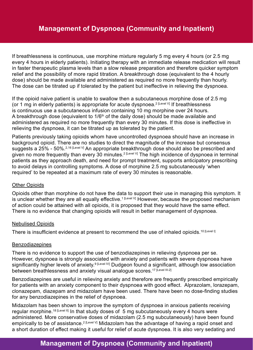If breathlessness is continuous, use morphine mixture regularly 5 mg every 4 hours (or 2.5 mg every 4 hours in elderly patients). Initiating therapy with an immediate release medication will result in faster therapeutic plasma levels than a slow release preparation and therefore quicker symptom relief and the possibility of more rapid titration. A breakthrough dose (equivalent to the 4 hourly dose) should be made available and administered as required no more frequently than hourly. The dose can be titrated up if tolerated by the patient but ineffective in relieving the dyspnoea.

If the opioid naive patient is unable to swallow then a subcutaneous morphine dose of 2.5 mg (or 1 mg in elderly patients) is appropriate for acute dyspnoea.<sup>2 [Level V]</sup> If breathlessness is continuous use a subcutaneous infusion containing 10 mg morphine over 24 hours. A breakthrough dose (equivalent to  $1/6<sup>th</sup>$  of the daily dose) should be made available and administered as required no more frequently than every 30 minutes. If this dose is ineffective in relieving the dyspnoea, it can be titrated up as tolerated by the patient.

Patients previously taking opioids whom have uncontrolled dyspnoea should have an increase in background opioid. There are no studies to direct the magnitude of the increase but consensus suggests a 25% - 50%.<sup>2,16 [Level V]</sup> An appropriate breakthrough dose should also be prescribed and given no more frequently than every 30 minutes.<sup>2 [Level V]</sup> The high incidence of dyspnoea in terminal patients as they approach death, and need for prompt treatment, supports anticipatory prescribing to avoid delays in controlling symptoms. A dose of morphine 2.5 mg subcutaneously 'when required' to be repeated at a maximum rate of every 30 minutes is reasonable.

#### Other Opioids

Opioids other than morphine do not have the data to support their use in managing this symptom. It is unclear whether they are all equally effective.<sup>1 [Level V]</sup> However, because the proposed mechanism of action could be attained with all opioids, it is proposed that they would have the same effect. There is no evidence that changing opioids will result in better management of dyspnoea.

#### Nebulised Opioids

There is insufficient evidence at present to recommend the use of inhaled opioids.<sup>10 [Level I]</sup>

#### Benzodiazepines

There is no evidence to support the use of benzodiazepines in relieving dyspnoea per se. However, dyspnoea is strongly associated with anxiety and patients with severe dyspnoea have significantly higher levels of anxiety.<sup>9 [Level IV</sup>] Dudgeon found a significant, although low association between breathlessness and anxiety visual analogue scores.<sup>17 [Level III-2]</sup>

Benzodiazepines are useful in relieving anxiety and therefore are frequently prescribed empirically for patients with an anxiety component to their dyspnoea with good effect. Alprazolam, lorazepam, clonazepam, diazepam and midazolam have been used. There have been no dose-finding studies for any benzodiazepines in the relief of dyspnoea.

Midazolam has been shown to improve the symptom of dyspnoea in anxious patients receiving regular morphine.<sup>18 [Level II]</sup> In that study doses of 5 mg subcutaneously every 4 hours were administered. More conservative doses of midazolam (2.5 mg subcutaneously) have been found empirically to be of assistance.<sup>2 [Level V]</sup> Midazolam has the advantage of having a rapid onset and a short duration of effect making it useful for relief of acute dyspnoea. It is also very sedating and

# **Management of Dyspnoea (Community and Inpatient)**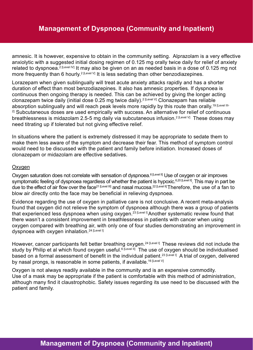amnesic. It is however, expensive to obtain in the community setting. Alprazolam is a very effective anxiolytic with a suggested initial dosing regimen of 0.125 mg orally twice daily for relief of anxiety related to dyspnoea.<sup>2 [Level IV]</sup> It may also be given on an as needed basis in a dose of 0.125 mg not more frequently than 6 hourly.<sup>2 [Level V]</sup> It is less sedating than other benzodiazepines.

Lorazepam when given sublingually will treat acute anxiety attacks rapidly and has a shorter duration of effect than most benzodiazepines. It also has amnesic properties. If dyspnoea is continuous then ongoing therapy is needed. This can be achieved by giving the longer acting clonazepam twice daily (initial dose 0.25 mg twice daily).<sup>2 [Level V]</sup> Clonazepam has reliable absorption sublingually and will reach peak levels more rapidly by this route than orally.<sup>19 [Level III-</sup> <sup>2]</sup> Subcutaneous doses are used empirically with success. An alternative for relief of continuous breathlessness is midazolam 2.5-5 mg daily via subcutaneous infusion.<sup>2 [Level V]</sup> These doses may need titrating up if tolerated but not giving effective relief.

In situations where the patient is extremely distressed it may be appropriate to sedate them to make them less aware of the symptom and decrease their fear. This method of symptom control would need to be discussed with the patient and family before initiation. Increased doses of clonazepam or midazolam are effective sedatives.

#### **Oxygen**

Oxygen saturation does not correlate with sensation of dyspnoea.<sup>6 [Level II]</sup> Use of oxygen or air improves symptomatic feeling of dyspnoea regardless of whether the patient is hypoxic.<sup>6,20 [Level II]</sup>. This may in part be due to the effect of air flow over the face<sup>21 [Level III</sup>] and nasal mucosa.<sup>22 [Level II</sup>] Therefore, the use of a fan to blow air directly onto the face may be beneficial in relieving dyspnoea.

Evidence regarding the use of oxygen in palliative care is not conclusive. A recent meta-analysis found that oxygen did not relieve the symptom of dyspnoea although there was a group of patients that experienced less dyspnoea when using oxygen.<sup>23 [Level I]</sup> Another systematic review found that there wasn't a consistent improvement in breathlessness in patients with cancer when using oxygen compared with breathing air, with only one of four studies demonstrating an improvement in dyspnoea with oxygen inhalation.<sup>24 [Level I]</sup>

However, cancer participants felt better breathing oxygen.<sup>24 [Level I]</sup> These reviews did not include the study by Philip et al which found oxygen useful.<sup>6 [Level II]</sup> The use of oxygen should be individualised based on a formal assessment of benefit in the individual patient.<sup>23 [Level I]</sup> A trial of oxygen, delivered by nasal prongs, is reasonable in some patients, if available.<sup>16 [Level V]</sup>

Oxygen is not always readily available in the community and is an expensive commodity. Use of a mask may be appropriate if the patient is comfortable with this method of administration, although many find it claustrophobic. Safety issues regarding its use need to be discussed with the patient and family.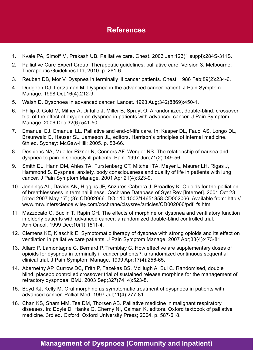- 1. Kvale PA, Simoff M, Prakash UB. Palliative care. Chest. 2003 Jan;123(1 suppl):284S-311S.
- 2. Palliative Care Expert Group. Therapeutic guidelines: palliative care. Version 3. Melbourne: Therapeutic Guidelines Ltd; 2010. p. 261-6.
- 3. Reuben DB, Mor V. Dyspnea in terminally ill cancer patients. Chest. 1986 Feb;89(2):234-6.
- 4. Dudgeon DJ, Lertzaman M. Dyspnea in the advanced cancer patient. J Pain Symptom Manage. 1998 Oct;16(4):212-9.
- 5. Walsh D. Dyspnoea in advanced cancer. Lancet. 1993 Aug;342(8869):450-1.
- 6. Philip J, Gold M, Milner A, Di Iulio J, Miller B, Spruyt O. A randomized, double-blind, crossover trial of the effect of oxygen on dyspnea in patients with advanced cancer. J Pain Symptom Manage. 2006 Dec;32(6):541-50.
- 7. Emanuel EJ, Emanuel LL. Palliative and end-of-life care. In: Kasper DL, Fauci AS, Longo DL, Braunwald E, Hauser SL, Jameson JL, editors. Harrison's principles of internal medicine. 6th ed. Sydney: McGaw-Hill; 2005. p. 53-66.
- 8. Desbiens NA, Mueller-Rizner N, Connors AF, Wenger NS. The relationship of nausea and dyspnea to pain in seriously ill patients. Pain. 1997 Jun;71(2):149-56.
- 9. Smith EL, Hann DM, Ahles TA, Furstenberg CT, Mitchell TA, Meyer L, Maurer LH, Rigas J, Hammond S. Dyspnea, anxiety, body consciousness and quality of life in patients with lung cancer. J Pain Symptom Manage. 2001 Apr;21(4):323-9.
- 10. Jennings AL, Davies AN, Higgins JP, Anzures-Cabrera J, Broadley K. Opioids for the palliation of breathlessness in terminal illness. Cochrane Database of Syst Rev [Internet]. 2001 Oct 23 [cited 2007 May 17]; (3): CD002066. DOI: 10.1002/14651858.CD002066. Available from: http:// www.mrw.interscience.wiley.com/cochrane/clsysrev/articles/CD002066/pdf\_fs.html
- 11. Mazzocato C, Buclin T, Rapin CH. The effects of morphine on dyspnea and ventilatory function in elderly patients with advanced cancer: a randomized double-blind controlled trial. Ann Oncol. 1999 Dec;10(1):1511-4.
- 12. Clemens KE, Klaschik E. Symptomatic therapy of dyspnea with strong opioids and its effect on ventilation in palliative care patients. J Pain Symptom Manage. 2007 Apr;33(4):473-81.
- 13. Allard P, Lamontagne C, Bernard P, Tremblay C. How effective are supplementary doses of opioids for dyspnea in terminally ill cancer patients?: a randomized continuous sequential clinical trial. J Pain Symptom Manage. 1999 Apr;17(4):256-65.
- 14. Abernethy AP, Currow DC, Frith P, Fazekas BS, McHugh A, Bui C. Randomised, double blind, placebo controlled crossover trial of sustained release morphine for the management of refractory dyspnoea. BMJ. 2003 Sep;327(7414):523-8.
- 15. Boyd KJ, Kelly M. Oral morphine as symptomatic treatment of dyspnoea in patients with advanced cancer. Palliat Med. 1997 Jul;11(4):277-81.
- 16. Chan KS, Sham MM, Tse DM, Thorsen AB. Palliative medicine in malignant respiratory diseases. In: Doyle D, Hanks G, Cherny NI, Calman K, editors. Oxford textbook of palliative medicine. 3rd ed. Oxford: Oxford University Press; 2004. p. 587-618.

# **Management of Dyspnoea (Community and Inpatient)**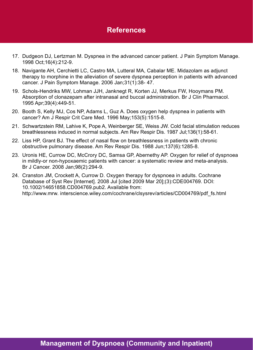- 17. Dudgeon DJ, Lertzman M. Dyspnea in the advanced cancer patient. J Pain Symptom Manage. 1998 Oct;16(4):212-9.
- 18. Navigante AH, Cerchietti LC, Castro MA, Lutteral MA, Cabalar ME. Midazolam as adjunct therapy to morphine in the alleviation of severe dyspnea perception in patients with advanced cancer. J Pain Symptom Manage. 2006 Jan;31(1):38- 47.
- 19. Schols-Hendriks MW, Lohman JJH, Janknegt R, Korten JJ, Merkus FW, Hooymans PM. Absorption of clonazepam after intranasal and buccal administration. Br J Clin Pharmacol. 1995 Apr;39(4):449-51.
- 20. Booth S, Kelly MJ, Cos NP, Adams L, Guz A. Does oxygen help dyspnea in patients with cancer? Am J Respir Crit Care Med. 1996 May;153(5):1515-8.
- 21. Schwartzstein RM, Lahive K, Pope A, Weinberger SE, Weiss JW. Cold facial stimulation reduces breathlessness induced in normal subjects. Am Rev Respir Dis. 1987 Jul;136(1):58-61.
- 22. Liss HP, Grant BJ. The effect of nasal flow on breathlessness in patients with chronic obstructive pulmonary disease. Am Rev Respir Dis. 1988 Jun;137(6):1285-8.
- 23. Uronis HE, Currow DC, McCrory DC, Samsa GP, Abernethy AP. Oxygen for relief of dyspnoea in mildly-or non-hypoxaemic patients with cancer: a systematic review and meta-analysis. Br J Cancer. 2008 Jan;98(2):294-9.
- 24. Cranston JM, Crockett A, Currow D. Oxygen therapy for dyspnoea in adults. Cochrane Database of Syst Rev [Internet]. 2008 Jul [cited 2009 Mar 20];(3):CDE004769. DOI: 10.1002/14651858.CD004769.pub2. Available from: http://www.mrw. interscience.wiley.com/cochrane/clsysrev/articles/CD004769/pdf\_fs.html

# **Management of Dyspnoea (Community and Inpatient)**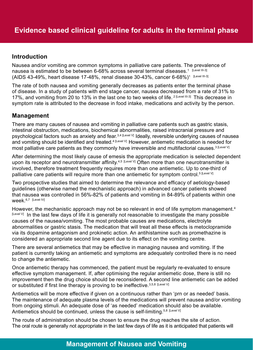### **Introduction**

Nausea and/or vomiting are common symptoms in palliative care patients. The prevalence of nausea is estimated to be between 6-68% across several terminal diseases. $^{\text{1}}$  [Level III-3] (AIDS 43-49%, heart disease 17-48%, renal disease 30-43%, cancer 6-68%) $^{\rm 1-[Level\ II-3]}$ 

The rate of both nausea and vomiting generally decreases as patients enter the terminal phase of disease. In a study of patients with end stage cancer, nausea decreased from a rate of 31% to 17%, and vomiting from 20 to 13% in the last one to two weeks of life. <sup>2 [Level III-3]</sup> This decrease in symptom rate is attributed to the decrease in food intake, medications and activity by the person.

### **Management**

There are many causes of nausea and vomiting in palliative care patients such as gastric stasis, intestinal obstruction, medications, biochemical abnormalities, raised intracranial pressure and psychological factors such as anxiety and fear.<sup>3,4 [Level V]</sup> Ideally, reversible underlying causes of nausea and vomiting should be identified and treated.<sup>4 [Level V]</sup> However, antiemetic medication is needed for most palliative care patients as they commonly have irreversible and multifactorial causes.<sup>3 [Level V]</sup>

After determining the most likely cause of emesis the appropriate medication is selected dependent upon its receptor and neurotransmitter affinity.<sup>4,5 [Level V]</sup> Often more than one neurotransmitter is involved, therefore treatment frequently requires more than one antiemetic. Up to one-third of palliative care patients will require more than one antiemetic for symptom control.<sup>5 [Level V]</sup>

Two prospective studies that aimed to determine the relevance and efficacy of aetiology-based guidelines (otherwise named the mechanistic approach) in advanced cancer patients showed that nausea was controlled in 56%-82% of patients and vomiting in 84-89% of patients within one Week 6,7 [Level IV]

However, the mechanistic approach may not be so relevant in end of life symptom management.<sup>4</sup>  $[{\sf Level V}]$  In the last few days of life it is generally not reasonable to investigate the many possible causes of the nausea/vomiting. The most probable causes are medications, electrolyte abnormalities or gastric stasis. The medication that will treat all these effects is metoclopramide via its dopamine antagonism and prokinetic action. An antihistamine such as promethazine is considered an appropriate second line agent due to its effect on the vomiting centre.

There are several antiemetics that may be effective in managing nausea and vomiting. If the patient is currently taking an antiemetic and symptoms are adequately controlled there is no need to change the antiemetic.

Once antiemetic therapy has commenced, the patient must be regularly re-evaluated to ensure effective symptom management. If, after optimising the regular antiemetic dose, there is still no improvement then the drug choice should be reconsidered. A second line antiemetic can be added or substituted if first line therapy is proving to be ineffective.  $3,5,8$  [Level V]

Antiemetics will be more effective if given on a continuous rather than 'prn or as needed' basis. The maintenance of adequate plasma levels of the medications will prevent nausea and/or vomiting from ongoing stimuli. An adequate dose of 'as needed' medication should also be available. Antiemetics should be continued, unless the cause is self-limiting.<sup>5,8 [Level V]</sup>

The route of administration should be chosen to ensure the drug reaches the site of action. The oral route is generally not appropriate in the last few days of life as it is anticipated that patients will

# **Management of Nausea and Vomiting**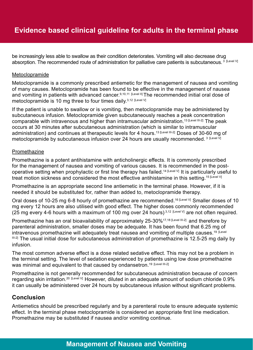be increasingly less able to swallow as their condition deteriorates. Vomiting will also decrease drug absorption. The recommended route of administration for palliative care patients is subcutaneous.<sup>3</sup> [Level V]

#### Metoclopramide

Metoclopramide is a commonly prescribed antiemetic for the management of nausea and vomiting of many causes. Metoclopramide has been found to be effective in the management of nausea and vomiting in patients with advanced cancer.<sup>9,10,11</sup> [Level II] The recommended initial oral dose of metoclopramide is 10 mg three to four times daily.<sup>3,12 [Level V]</sup>

If the patient is unable to swallow or is vomiting, then metoclopramide may be administered by subcutaneous infusion. Metoclopramide given subcutaneously reaches a peak concentration comparable with intravenous and higher than intramuscular administration.<sup>13 [Level III-2]</sup> The peak occurs at 30 minutes after subcutaneous administration (which is similar to intramuscular administration) and continues at therapeutic levels for 4 hours.<sup>13 [Level III-2]</sup> Doses of 30-60 mg of metoclopramide by subcutaneous infusion over 24 hours are usually recommended.<sup>3 [Level V]</sup>

#### **Promethazine**

Promethazine is a potent antihistamine with anticholinergic effects. It is commonly prescribed for the management of nausea and vomiting of various causes. It is recommended in the postoperative setting when prophylactic or first line therapy has failed.<sup>14 [Level V]</sup> It is particularly useful to treat motion sickness and considered the most effective antihistamine in this setting.<sup>15 [Level V]</sup>

Promethazine is an appropriate second line antiemetic in the terminal phase. However, if it is needed it should be substituted for, rather than added to, metoclopramide therapy.

Oral doses of 10-25 mg 6-8 hourly of promethazine are recommended.<sup>16 [Level V]</sup> Smaller doses of 10 mg every 12 hours are also utilised with good effect. The higher doses commonly recommended (25 mg every 4-6 hours with a maximum of 100 mg over 24 hours)<sup>3,12 [Level V]</sup> are not often required.

Promethazine has an oral bioavailability of approximately 25-30%<sup>17,18 [Level III-2]</sup> and therefore by parenteral administration, smaller doses may be adequate. It has been found that 6.25 mg of intravenous promethazine will adequately treat nausea and vomiting of multiple causes.<sup>19 [Level</sup>] III-2] The usual initial dose for subcutaneous administration of promethazine is 12.5-25 mg daily by infusion.

The most common adverse effect is a dose related sedative effect. This may not be a problem in the terminal setting. The level of sedation experienced by patients using low dose promethazine was minimal and equivalent to that caused by ondansetron.<sup>19 [Level III-2]</sup>

Promethazine is not generally recommended for subcutaneous administration because of concern regarding skin irritation.<sup>20 [Level V]</sup> However, diluted in an adequate amount of sodium chloride 0.9% it can usually be administered over 24 hours by subcutaneous infusion without significant problems.

### **Conclusion**

Antiemetics should be prescribed regularly and by a parenteral route to ensure adequate systemic effect. In the terminal phase metoclopramide is considered an appropriate first line medication. Promethazine may be substituted if nausea and/or vomiting continue.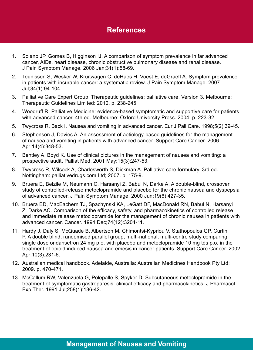- 1. Solano JP, Gomes B, Higginson IJ. A comparison of symptom prevalence in far advanced cancer, AIDs, heart disease, chronic obstructive pulmonary disease and renal disease. J Pain Symptom Manage. 2006 Jan;31(1):58-69.
- 2. Teunissen S, Wesker W, Kruitwagen C, deHaes H, Voest E, deGraeff A. Symptom prevalence in patients with incurable cancer: a systematic review. J Pain Symptom Manage. 2007 Jul;34(1):94-104.
- 3. Palliative Care Expert Group. Therapeutic guidelines: palliative care. Version 3. Melbourne: Therapeutic Guidelines Limited: 2010. p. 238-245.
- 4. Woodruff R. Palliative Medicine: evidence-based symptomatic and supportive care for patients with advanced cancer. 4th ed. Melbourne: Oxford University Press. 2004: p. 223-32.
- 5. Twycross R, Back I. Nausea and vomiting in advanced cancer. Eur J Pall Care. 1998;5(2):39-45.
- 6. Stephenson J, Davies A. An assessment of aetiology-based guidelines for the management of nausea and vomiting in patients with advanced cancer. Support Care Cancer. 2006 Apr;14(4):348-53.
- 7. Bentley A, Boyd K. Use of clinical pictures in the management of nausea and vomiting: a prospective audit. Palliat Med. 2001 May;15(3):247-53.
- 8. Twycross R, Wilcock A, Charlesworth S, Dickman A. Palliative care formulary. 3rd ed. Nottingham: palliativedrugs.com Ltd; 2007. p. 175-9.
- 9. Bruera E, Belzile M, Neumann C, Harsanyi Z, Babul N, Darke A. A double-blind, crossover study of controlled-release metoclopramide and placebo for the chronic nausea and dyspepsia of advanced cancer. J Pain Symptom Manage. 2000 Jun:19(6):427-35.
- 10. Bruera ED, MacEachern TJ, Spachynski KA, LeGatt DF, MacDonald RN, Babul N, Harsanyi Z, Darke AC. Comparison of the efficacy, safety, and pharmacokinetics of controlled release and immediate release metoclopramide for the management of chronic nausea in patients with advanced cancer. Cancer. 1994 Dec;74(12):3204-11.
- 11. Hardy J, Daly S, McQuade B, Albertson M, Chimontsi-Kypriou V, Stathopoulos GP, Curtin P. A double blind, randomised parallel group, multi-national, multi-centre study comparing single dose ondansetron 24 mg p.o. with placebo and metoclopramide 10 mg tds p.o. in the treatment of opioid induced nausea and emesis in cancer patients. Support Care Cancer. 2002 Apr;10(3):231-6.
- 12. Australian medical handbook. Adelaide, Australia: Australian Medicines Handbook Pty Ltd; 2009. p. 470-471.
- 13. McCallum RW, Valenzuela G, Polepalle S, Spyker D. Subcutaneous metoclopramide in the treatment of symptomatic gastroparesis: clinical efficacy and pharmacokinetics. J Pharmacol Exp Ther. 1991 Jul;258(1):136-42.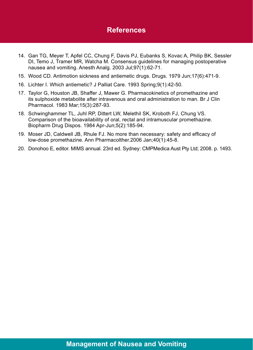- 14. Gan TG, Meyer T, Apfel CC, Chung F, Davis PJ, Eubanks S, Kovac A, Philip BK, Sessler DI, Temo J, Tramer MR, Watcha M. Consensus guidelines for managing postoperative nausea and vomiting. Anesth Analg. 2003 Jul;97(1):62-71.
- 15. Wood CD. Antimotion sickness and antiemetic drugs. Drugs. 1979 Jun;17(6):471-9.
- 16. Lichter I. Which antiemetic? J Palliat Care. 1993 Spring;9(1):42-50.
- 17. Taylor G, Houston JB, Shaffer J, Mawer G. Pharmacokinetics of promethazine and its sulphoxide metabolite after intravenous and oral administration to man. Br J Clin Pharmacol. 1983 Mar;15(3):287-93.
- 18. Schwinghammer TL, Juhl RP, Dittert LW, Melethil SK, Kroboth FJ, Chung VS. Comparison of the bioavailability of oral, rectal and intramuscular promethazine. Biopharm Drug Dispos. 1984 Apr-Jun;5(2):185-94.
- 19. Moser JD, Caldwell JB, Rhule FJ. No more than necessary: safety and efficacy of low-dose promethazine. Ann Pharmacolther.2006 Jan;40(1):45-8.
- 20. Donohoo E, editor. MIMS annual. 23rd ed. Sydney: CMPMedica Aust Pty Ltd; 2008. p. 1493.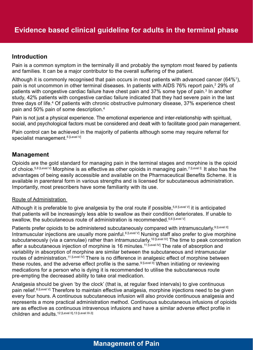### **Introduction**

Pain is a common symptom in the terminally ill and probably the symptom most feared by patients and families. It can be a major contributor to the overall suffering of the patient.

Although it is commonly recognised that pain occurs in most patients with advanced cancer (64% $^{\circ}$ ), pain is not uncommon in other terminal diseases. In patients with AIDS 76% report pain, $^{\text{2}}$  29% of patients with congestive cardiac failure have chest pain and 37% some type of pain.<sup>3</sup> In another study, 42% patients with congestive cardiac failure indicated that they had severe pain in the last three days of life.<sup>4</sup> Of patients with chronic obstructive pulmonary disease, 37% experience chest pain and 50% pain of some description.4

Pain is not just a physical experience. The emotional experience and inter-relationship with spiritual, social, and psychological factors must be considered and dealt with to facilitate good pain management.

Pain control can be achieved in the majority of patients although some may require referral for specialist management.<sup>5 [Level V]</sup>

### **Management**

Opioids are the gold standard for managing pain in the terminal stages and morphine is the opioid of choice.<sup>5,6 [Level V]</sup> Morphine is as effective as other opioids in managing pain.<sup>7 [Level I]</sup> It also has the advantages of being easily accessible and available on the Pharmaceutical Benefits Scheme. It is available in parenteral form in various strengths and is licensed for subcutaneous administration. Importantly, most prescribers have some familiarity with its use.

#### Route of Administration

Although it is preferable to give analgesia by the oral route if possible,<sup>5,8 [Level V]</sup> it is anticipated that patients will be increasingly less able to swallow as their condition deteriorates. If unable to swallow, the subcutaneous route of administration is recommended.<sup>5,6 [Level V]</sup>

Patients prefer opioids to be administered subcutaneously compared with intramuscularly.<sup>9 [Level II]</sup> Intramuscular injections are usually more painful.<sup>6 [Level V]</sup> Nursing staff also prefer to give morphine subcutaneously (via a cannulae) rather than intramuscularly.<sup>10 [Level IV]</sup> The time to peak concentration after a subcutaneous injection of morphine is 16 minutes.<sup>11 [Level IV]</sup> The rate of absorption and variability in absorption of morphine are similar between the subcutaneous and intramuscular routes of administration.<sup>11 [Level IV</sup>] There is no difference in analgesic effect of morphine between these routes, and the adverse effect profile is the same.<sup>9 [Level II]</sup> When initiating or reviewing medications for a person who is dying it is recommended to utilise the subcutaneous route pre-empting the decreased ability to take oral medication.

Analgesia should be given 'by the clock' (that is, at regular fixed intervals) to give continuous pain relief.<sup>8 [Level V]</sup> Therefore to maintain effective analgesia, morphine injections need to be given every four hours. A continuous subcutaneous infusion will also provide continuous analgesia and represents a more practical administration method. Continuous subcutaneous infusions of opioids are as effective as continuous intravenous infusions and have a similar adverse effect profile in children and adults.12 [Level II],13 [Level III-3]

# **Management of Pain**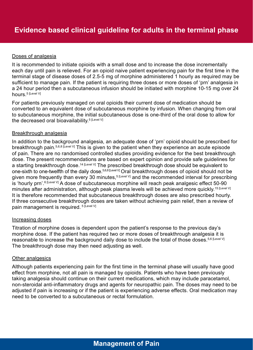#### Doses of analgesia

It is recommended to initiate opioids with a small dose and to increase the dose incrementally each day until pain is relieved. For an opioid naive patient experiencing pain for the first time in the terminal stage of disease doses of 2.5-5 mg of morphine administered 1 hourly as required may be sufficient to manage pain. If the patient is requiring three doses or more doses of 'prn' analgesia in a 24 hour period then a subcutaneous infusion should be initiated with morphine 10-15 mg over 24 hours.<sup>5</sup> [Level V]

For patients previously managed on oral opioids their current dose of medication should be converted to an equivalent dose of subcutaneous morphine by infusion. When changing from oral to subcutaneous morphine, the initial subcutaneous dose is one-third of the oral dose to allow for the decreased oral bioavailability.<sup>5 [Level V]</sup>

#### Breakthrough analgesia

In addition to the background analgesia, an adequate dose of 'prn' opioid should be prescribed for breakthrough pain.<sup>5,6,8 [Level V]</sup> This is given to the patient when they experience an acute episode of pain. There are no randomised controlled studies providing evidence for the best breakthrough dose. The present recommendations are based on expert opinion and provide safe guidelines for a starting breakthrough dose.<sup>14 [Level V]</sup> The prescribed breakthrough dose should be equivalent to one-sixth to one-twelfth of the daily dose.<sup>5,6,8 [Level V]</sup> Oral breakthrough doses of opioid should not be given more frequently than every 30 minutes,<sup>5 [Level V]</sup> and the recommended interval for prescribing is 'hourly prn'.<sup>6 [Level V]</sup> A dose of subcutaneous morphine will reach peak analgesic effect 50-90 minutes after administration, although peak plasma levels will be achieved more quickly.<sup>15 [Level V]</sup> It is therefore recommended that subcutaneous breakthrough doses are also prescribed hourly. If three consecutive breakthrough doses are taken without achieving pain relief, then a review of pain management is required.<sup>5 [Level V]</sup>

#### Increasing doses

Titration of morphine doses is dependent upon the patient's response to the previous day's morphine dose. If the patient has required two or more doses of breakthrough analgesia it is reasonable to increase the background daily dose to include the total of those doses.<sup>5,6 [Level V]</sup> The breakthrough dose may then need adjusting as well.

#### **Other analgesics**

Although patients experiencing pain for the first time in the terminal phase will usually have good effect from morphine, not all pain is managed by opioids. Patients who have been previously taking analgesia should continue on their current medications, which may include paracetamol, non-steroidal anti-inflammatory drugs and agents for neuropathic pain. The doses may need to be adjusted if pain is increasing or if the patient is experiencing adverse effects. Oral medication may need to be converted to a subcutaneous or rectal formulation.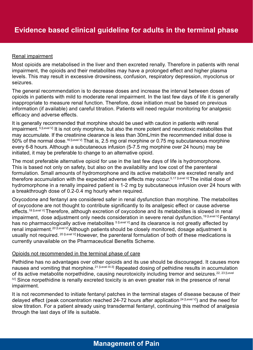#### Renal impairment

Most opioids are metabolised in the liver and then excreted renally. Therefore in patients with renal impairment, the opioids and their metabolites may have a prolonged effect and higher plasma levels. This may result in excessive drowsiness, confusion, respiratory depression, myoclonus or seizures.

The general recommendation is to decrease doses and increase the interval between doses of opioids in patients with mild to moderate renal impairment. In the last few days of life it is generally inappropriate to measure renal function. Therefore, dose initiation must be based on previous information (if available) and careful titration. Patients will need regular monitoring for analgesic efficacy and adverse effects.

It is generally recommended that morphine should be used with caution in patients with renal impairment.  $5$  [Level V] It is not only morphine, but also the more potent and neurotoxic metabolites that may accumulate. If the creatinine clearance is less than 30mL/min the recommended initial dose is 50% of the normal dose.<sup>16 [Level V]</sup> That is, 2.5 mg oral morphine or 0.75 mg subcutaneous morphine every 6-8 hours. Although a subcutaneous infusion (5-7.5 mg morphine over 24 hours) may be initiated, it may be preferable to change to an alternative opioid.

The most preferable alternative opioid for use in the last few days of life is hydromorphone. This is based not only on safety, but also on the availability and low cost of the parenteral formulation. Small amounts of hydromorphone and its active metabolite are excreted renally and therefore accumulation with the expected adverse effects may occur.<sup>5,17 [Level V]</sup> The initial dose of hydromorphone in a renally impaired patient is 1-2 mg by subcutaneous infusion over 24 hours with a breakthrough dose of 0.2-0.4 mg hourly when required.

Oxycodone and fentanyl are considered safer in renal dysfunction than morphine. The metabolites of oxycodone are not thought to contribute significantly to its analgesic effect or cause adverse effects.<sup>18 [Level V]</sup> Therefore, although excretion of oxycodone and its metabolites is slowed in renal impairment, dose adjustment only needs consideration in severe renal dysfunction.<sup>19 [Level V]</sup> Fentanyl has no pharmacologically active metabolites <sup>5 [Level V]</sup> and its clearance is not greatly affected by renal impairment.<sup>20 [Level V]</sup> Although patients should be closely monitored, dosage adjustment is usually not required. <sup>20 [Level V]</sup> However, the parenteral formulation of both of these medications is currently unavailable on the Pharmaceutical Benefits Scheme.

#### Opioids not recommended in the terminal phase of care

Pethidine has no advantages over other opioids and its use should be discouraged. It causes more nausea and vomiting that morphine.<sup>21 [Level III-3]</sup> Repeated dosing of pethidine results in accumulation of its active metabolite norpethidine, causing neurotoxicity including tremor and seizures.<sup>22, 23 [Level</sup>]  $N$  Since norpethidine is renally excreted toxicity is an even greater risk in the presence of renal impairment.

It is not recommended to initiate fentanyl patches in the terminal stages of disease because of their delayed effect (peak concentration reached 24-72 hours after application<sup>24 [Level V]</sup>) and the need for slow titration. For a patient already using transdermal fentanyl, continuing this method of analgesia through the last days of life is suitable.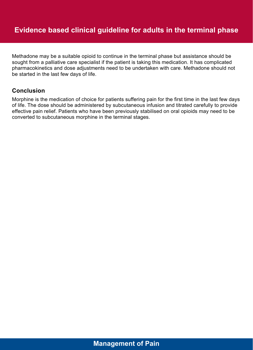Methadone may be a suitable opioid to continue in the terminal phase but assistance should be sought from a palliative care specialist if the patient is taking this medication. It has complicated pharmacokinetics and dose adjustments need to be undertaken with care. Methadone should not be started in the last few days of life.

### **Conclusion**

Morphine is the medication of choice for patients suffering pain for the first time in the last few days of life. The dose should be administered by subcutaneous infusion and titrated carefully to provide effective pain relief. Patients who have been previously stabilised on oral opioids may need to be converted to subcutaneous morphine in the terminal stages.

# **Management of Pain**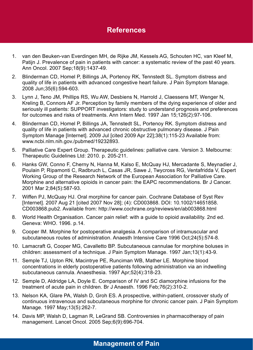- 1. van den Beuken-van Everdingen MH, de Rijke JM, Kessels AG, Schouten HC, van Kleef M, Patijn J. Prevalence of pain in patients with cancer: a systematic review of the past 40 years. Ann Oncol. 2007 Sep;18(9):1437-49.
- 2. Blinderman CD, Homel P, Billings JA, Portenoy RK, Tennstedt SL. Symptom distress and quality of life in patients with advanced congestive heart failure. J Pain Symptom Manage. 2008 Jun;35(6):594-603.
- 3. Lynn J, Teno JM, Phillips RS, Wu AW, Desbiens N, Harrold J, Claessens MT, Wenger N, Kreling B, Connors AF Jr. Perception by family members of the dying experience of older and seriously ill patients: SUPPORT investigators: study to understand prognosis and preferences for outcomes and risks of treatments. Ann Intern Med. 1997 Jan 15;126(2):97-106.
- 4. Blinderman CD, Homel P, Billings JA, Tennstedt SL, Portenoy RK. Symptom distress and quality of life in patients with advanced chronic obstructive pulmonary disease. J Pain Symptom Manage [Internet]. 2009 Jul [cited 2009 Apr 22];38(1):115-23 Available from: www.ncbi.nlm.nih.gov./pubmed/19232893.
- 5. Palliative Care Expert Group. Therapeutic guidelines: palliative care. Version 3. Melbourne: Therapeutic Guidelines Ltd: 2010. p. 205-211.
- 6. Hanks GW, Conno F, Cherny N, Hanna M, Kalso E, McQuay HJ, Mercadante S, Meynadier J, Poulain P, Ripamonti C, Radbruch L, Casas JR, Sawe J, Twycross RG, Ventafridda V, Expert Working Group of the Research Network of the European Association for Palliative Care. Morphine and alternative opioids in cancer pain: the EAPC recommendations. Br J Cancer. 2001 Mar 2;84(5):587-93.
- 7. Wiffen PJ, McQuay HJ. Oral morphine for cancer pain. Cochrane Database of Syst Rev [Internet]. 2007 Aug 21 [cited 2007 Nov 28]; (4): CD003868. DOI: 10.1002/14651858. CD003868.pub2. Available from: http://www.cochrane.org/reviews/en/ab003868.html
- 8. World Health Organisation. Cancer pain relief: with a guide to opioid availability. 2nd ed. Geneva: WHO. 1996. p.14.
- 9. Cooper IM. Morphine for postoperative analgesia. A comparison of intramuscular and subcutaneous routes of administration. Anaesth Intensive Care 1996 Oct;24(5):574-8.
- 10. Lamacraft G, Cooper MG, Cavalletto BP. Subcutaneous cannulae for morphine boluses in children: assessment of a technique. J Pain Symptom Manage. 1997 Jan;13(1):43-9.
- 11. Semple TJ, Upton RN, Macintrye PE, Runciman WB, Mather LE. Morphine blood concentrations in elderly postoperative patients following administration via an indwelling subcutaneous cannula. Anaesthesia. 1997 Apr;52(4):318-23.
- 12. Semple D, Aldridge LA, Doyle E. Comparison of IV and SC diamorphine infusions for the treatment of acute pain in children. Br J Anaesth. 1996 Feb;76(2):310-2.
- 13. Nelson KA, Glare PA, Walsh D, Groh ES. A prospective, within-patient, crossover study of continuous intravenous and subcutaneous morphine for chronic cancer pain. J Pain Symptom Manage. 1997 May;13(5):262-7.
- 14. Davis MP, Walsh D, Lagman R, LeGrand SB. Controversies in pharmacotherapy of pain management. Lancet Oncol. 2005 Sep;6(9):696-704.

# **Management of Pain**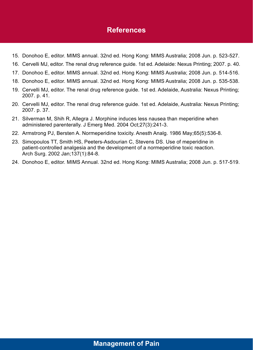- 15. Donohoo E, editor. MIMS annual. 32nd ed. Hong Kong: MIMS Australia; 2008 Jun. p. 523-527.
- 16. Cervelli MJ, editor. The renal drug reference guide. 1st ed. Adelaide: Nexus Printing; 2007. p. 40.
- 17. Donohoo E, editor. MIMS annual. 32nd ed. Hong Kong: MIMS Australia; 2008 Jun. p. 514-516.
- 18. Donohoo E, editor. MIMS annual. 32nd ed. Hong Kong: MIMS Australia; 2008 Jun. p. 535-538.
- 19. Cervelli MJ, editor. The renal drug reference guide. 1st ed. Adelaide, Australia: Nexus Printing; 2007. p. 41.
- 20. Cervelli MJ, editor. The renal drug reference guide. 1st ed. Adelaide, Australia: Nexus Printing; 2007. p. 37.
- 21. Silverman M, Shih R, Allegra J. Morphine induces less nausea than meperidine when administered parenterally. J Emerg Med. 2004 Oct;27(3):241-3.
- 22. Armstrong PJ, Bersten A. Normeperidine toxicity. Anesth Analg. 1986 May;65(5):536-8.
- 23. Simopoulos TT, Smith HS, Peeters-Asdourian C, Stevens DS. Use of meperidine in patient-controlled analgesia and the development of a normeperidine toxic reaction. Arch Surg. 2002 Jan;137(1):84-8.
- 24. Donohoo E, editor. MIMS Annual. 32nd ed. Hong Kong: MIMS Australia; 2008 Jun. p. 517-519.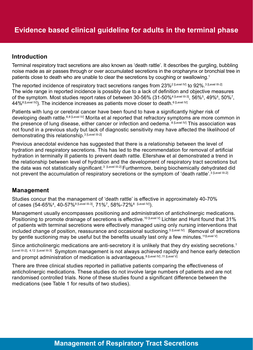### **Introduction**

Terminal respiratory tract secretions are also known as 'death rattle'. It describes the gurgling, bubbling noise made as air passes through or over accumulated secretions in the oropharynx or bronchial tree in patients close to death who are unable to clear the secretions by coughing or swallowing.<sup>1</sup>

The reported incidence of respiratory tract secretions ranges from 23%<sup>2 [Level IV]</sup> to 92%.<sup>3 [Level III-2]</sup> The wide range in reported incidence is possibly due to a lack of definition and objective measures of the symptom. Most studies report rates of between 30-56% (31-50%<sup>4 [Level III-3]</sup>, 56%<sup>5</sup>, 49%<sup>6</sup>, 50%<sup>7</sup>,  $44\%$ <sup>8 [Level IV]</sup>). The incidence increases as patients move closer to death.<sup>6 [Level IV]</sup>

Patients with lung or cerebral cancer have been found to have a significantly higher risk of developing death rattle.<sup>6,8 [Level IV]</sup> Morita et al reported that refractory symptoms are more common in the presence of lung disease, either cancer or infection and oedema. <sup>8 [Level IV]</sup> This association was not found in a previous study but lack of diagnostic sensitivity may have affected the likelihood of demonstrating this relationship.<sup>3 [Level III-2]</sup>

Previous anecdotal evidence has suggested that there is a relationship between the level of hydration and respiratory secretions. This has led to the recommendation for removal of artificial hydration in terminally ill patients to prevent death rattle. Ellershaw et al demonstrated a trend in the relationship between level of hydration and the development of respiratory tract secretions but the data was not statistically significant.<sup>3 [Level III-2]</sup> Furthermore, being biochemically dehydrated did not prevent the accumulation of respiratory secretions or the symptom of 'death rattle'.<sup>3 [Level III-2]</sup>

#### **Management**

Studies concur that the management of 'death rattle' is effective in approximately 40-70% of cases (54-65%<sup>4</sup>, 40-57%<sup>9 [Level III-3]</sup>, 71%<sup>7</sup>, 58%-72%<sup>8</sup> [<sup>Level IV</sup>]).

Management usually encompasses positioning and administration of anticholinergic medications. Positioning to promote drainage of secretions is effective.<sup>10 [Level V]</sup> Lichter and Hunt found that 31% of patients with terminal secretions were effectively managed using only nursing interventions that included change of position, reassurance and occasional suctioning.<sup>5 [Level IV]</sup> Removal of secretions by gentle suctioning may be useful but the benefits usually last only a few minutes.<sup>11[Level V]</sup>

Since anticholinergic medications are anti-secretory it is unlikely that they dry existing secretions.<sup>1</sup> [Level III-2], 4,12 [Level III-3] Symptom management is not always achieved rapidly and hence early detection and prompt administration of medication is advantageous.<sup>8 [Level IV]</sup>, 11 [Level V]

There are three clinical studies reported in palliative patients comparing the effectiveness of anticholinergic medications. These studies do not involve large numbers of patients and are not randomised controlled trials. None of these studies found a significant difference between the medications (see Table 1 for results of two studies).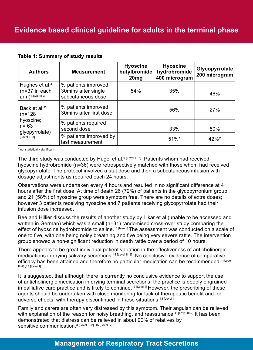#### **Table 1: Summary of study results**

| <b>Authors</b>                                                                                    | <b>Measurement</b>                                              | <b>Hyoscine</b><br>butylbromide<br>20 <sub>mg</sub> | <b>Hyoscine</b><br>hydrobromide<br>400 microgram | Glycopyrrolate<br>200 microgram |
|---------------------------------------------------------------------------------------------------|-----------------------------------------------------------------|-----------------------------------------------------|--------------------------------------------------|---------------------------------|
| Hughes et al 4<br>$(n=37)$ in each<br>$arm)$ [Level III-3]                                        | % patients improved<br>30mins after single<br>subcutaneous dose | 54%                                                 | 35%                                              | 46%                             |
| Back et al <sup>11</sup><br>$(n=128)$<br>hyoscine;<br>$n = 63$<br>glyopyrrolate)<br>[Level III-3] | % patients improved<br>30mins after first dose                  |                                                     | 56%                                              | 27%                             |
|                                                                                                   | % patients required<br>second dose                              |                                                     | 33%                                              | 50%                             |
|                                                                                                   | % patients improved by<br>last measurement                      |                                                     | $51\%$ *                                         | $42\%$ *                        |

\* not statistically significant

The third study was conducted by Hugel et al.<sup>9 [Level III-3]</sup> Patients whom had received hyoscine hydrobromide (n=36) were retrospectively matched with those whom had received glycopyrrolate. The protocol involved a stat dose and then a subcutaneous infusion with dosage adjustments as required each 24 hours.

Observations were undertaken every 4 hours and resulted in no significant difference at 4 hours after the first dose. At time of death 26 (72%) of patients in the glycopyrronium group and 21 (58%) of hyoscine group were symptom free. There are no details of extra doses; however 3 patients receiving hyoscine and 7 patients receiving glycopyrrolate had their infusion dose increased.

Bee and Hillier discuss the results of another study by Likar et al (unable to be accessed and written in German) which was a small (n=31) randomised cross-over study comparing the effect of hyoscine hydrobromide to saline.<sup>13 [level I]</sup> The assessment was conducted on a scale of one to five, with one being noisy breathing and five being very severe rattle. The intervention group showed a non-significant reduction in death rattle over a period of 10 hours.

There appears to be great individual patient variation in the effectiveness of anticholinergic medications in drying salivary secretions.<sup>14 [Level III-2]</sup> No conclusive evidence of comparative efficacy has been attained and therefore no particular medication can be recommended.<sup>1 [Level</sup> III-2] ,13 [Level I]

It is suggested, that although there is currently no conclusive evidence to support the use of anticholinergic medication in drying terminal secretions, the practice is deeply engrained in palliative care practice and is likely to continue.<sup>13 [Level I]</sup> However, the prescribing of these agents should be undertaken with close monitoring for lack of therapeutic benefit and for adverse effects, with therapy discontinued in these situations.<sup>13 [Level I]</sup>

Family and carers are often very distressed by this symptom. Their anguish can be relieved with explanation of the reason for noisy breathing, and reassurance.<sup>4</sup> [Level III-2] It has been demonstrated that distress can be relieved in about 90% of relatives by sensitive communication.3 [Level III-2] ,15 [Level IV]

# **Management of Respiratory Tract Secretions**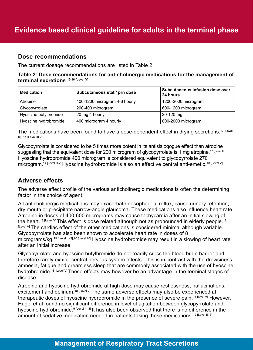#### **Dose recommendations**

The current dosage recommendations are listed in Table 2.

**Table 2: Dose recommendations for anticholinergic medications for the management of terminal secretions 10,16 [Level V]**

| <b>Medication</b>     | Subcutaneous stat / prn dose  | Subcutaneous infusion dose over<br>24 hours |
|-----------------------|-------------------------------|---------------------------------------------|
| Atropine              | 400-1200 microgram 4-6 hourly | 1200-2000 microgram                         |
| Glycopyrrolate        | 200-400 microgram             | 600-1200 microgram                          |
| Hyoscine butylbromide | 20 mg 4 hourly                | $20-120$ mg                                 |
| Hyoscine hydrobromide | 400 microgram 4 hourly        | 800-2000 microgram                          |

The medications have been found to have a dose-dependent effect in drying secretions.<sup>17 [Level</sup>] II] , 14 [Level III-2]

Glycopyrrolate is considered to be 5 times more potent in its antisialogogue effect than atropine suggesting that the equivalent dose for 200 microgram of glycopyrrolate is 1 mg atropine.<sup>17 [Level II]</sup> Hyoscine hydrobromide 400 microgram is considered equivalent to glycopyrrolate 270 microgram.<sup>14 [Level III-2]</sup> Hyoscine hydrobromide is also an effective central anti-emetic.<sup>18 [Level V]</sup>

### **Adverse effects**

The adverse effect profile of the various anticholinergic medications is often the determining factor in the choice of agent.

All anticholinergic medications may exacerbate oesophageal reflux, cause urinary retention, dry mouth or precipitate narrow-angle glaucoma. These medications also influence heart rate. Atropine in doses of 400-600 micrograms may cause tachycardia after an initial slowing of the heart.<sup>18 [Level V]</sup> This effect is dose related although not as pronounced in elderly people.<sup>18</sup> [Level V] The cardiac effect of the other medications is considered minimal although variable. Glycopyrrolate has also been shown to accelerate heart rate in doses of 8 micrograms/kg.<sup>19 [Level III-3],20 [Level IV]</sup> Hyoscine hydrobromide may result in a slowing of heart rate after an initial increase.

Glycopyrrolate and hyoscine butylbromide do not readily cross the blood brain barrier and therefore rarely exhibit central nervous system effects. This is in contrast with the drowsiness, amnesia, fatigue and dreamless sleep that are commonly associated with the use of hyoscine hydrobromide.<sup>18 [Level V]</sup> These effects may however be an advantage in the terminal stages of disease.

Atropine and hyoscine hydrobromide at high dose may cause restlessness, hallucinations, excitement and delirium.<sup>18 [Level V]</sup> The same adverse effects may also be experienced at therapeutic doses of hyoscine hydrobromide in the presence of severe pain.<sup>18 [level V]</sup> However, Hugel et al found no significant difference in level of agitation between glycopyrrolate and hyoscine hydrobromide.9 [Level III-3] It has also been observed that there is no difference in the amount of sedative medication needed in patients taking these medications.<sup>12 [Level III-3]</sup>

# **Management of Respiratory Tract Secretions**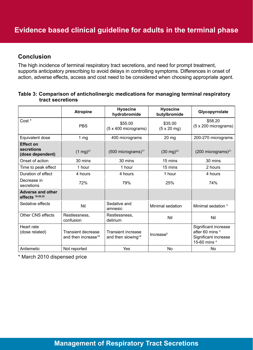### **Conclusion**

The high incidence of terminal respiratory tract secretions, and need for prompt treatment, supports anticipatory prescribing to avoid delays in controlling symptoms. Differences in onset of action, adverse effects, access and cost need to be considered when choosing appropriate agent.

#### **Table 3: Comparison of anticholinergic medications for managing terminal respiratory tract secretions**

|                                                    | <b>Atropine</b>                                       | <b>Hyoscine</b><br>hydrobromide                             | <b>Hyoscine</b><br>butylbromide       | Glycopyrrolate                                                                             |
|----------------------------------------------------|-------------------------------------------------------|-------------------------------------------------------------|---------------------------------------|--------------------------------------------------------------------------------------------|
| Cost *                                             | <b>PBS</b>                                            | \$55.00<br>(5 x 400 micrograms)                             | \$35.00<br>$(5 \times 20 \text{ mg})$ | \$58.20<br>$(5 \times 200 \text{ micrograms})$                                             |
| Equivalent dose                                    | 1 <sub>mg</sub>                                       | 400 micrograms                                              | $20$ mg                               | 200-270 micrograms                                                                         |
| <b>Effect on</b><br>secretions<br>(dose dependent) | $(1 \text{ mg})^{21}$                                 | $(500$ micrograms) <sup>17</sup>                            | $(30 \text{ mg})^{22}$                | $(200 \text{ micrograms})^{21}$                                                            |
| Onset of action                                    | 30 mins                                               | 30 mins                                                     | 15 mins                               | 30 mins                                                                                    |
| Time to peak effect                                | 1 hour                                                | 1 hour                                                      | 15 mins                               | 2 hours                                                                                    |
| Duration of effect                                 | 4 hours                                               | 4 hours                                                     | 1 hour                                | 4 hours                                                                                    |
| Decrease in<br>secretions                          | 72%                                                   | 79%                                                         | 25%                                   | 74%                                                                                        |
| <b>Adverse and other</b><br>effects $18-20,22$     |                                                       |                                                             |                                       |                                                                                            |
| Sedative effects                                   | Nil                                                   | Sedative and<br>amnesic                                     | Minimal sedation                      | Minimal sedation 4                                                                         |
| <b>Other CNS effects</b>                           | Restlessness,<br>confusion                            | Restlessness,<br>delirium                                   | Nil                                   | Nil                                                                                        |
| Heart rate<br>(dose related)                       | Transient decrease<br>and then increase <sup>18</sup> | <b>Transient increase</b><br>and then slowing <sup>18</sup> | Increase <sup>5</sup>                 | Significant increase<br>after 60 mins <sup>3</sup><br>Significant increase<br>15-60 mins 4 |
| Antiemetic                                         | Not reported                                          | Yes                                                         | No                                    | <b>No</b>                                                                                  |

\* March 2010 dispensed price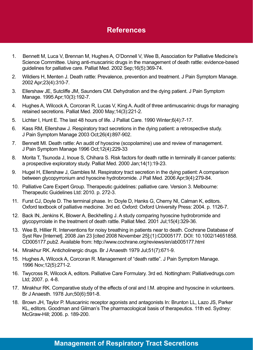- 1. Bennett M, Luca V, Brennan M, Hughes A, O'Donnell V, Wee B, Association for Palliative Medicine's Science Committee. Using anti-muscarinic drugs in the management of death rattle: evidence-based guidelines for palliative care. Palliat Med. 2002 Sep;16(5):369-74.
- 2. Wildiers H, Menten J. Death rattle: Prevalence, prevention and treatment. J Pain Symptom Manage. 2002 Apr;23(4):310-7.
- 3. Ellershaw JE, Sutcliffe JM, Saunders CM. Dehydration and the dying patient. J Pain Symptom Manage. 1995 Apr;10(3):192-7.
- 4. Hughes A, Wilcock A, Corcoran R, Lucas V, King A. Audit of three antimuscarinic drugs for managing retained secretions. Palliat Med. 2000 May;14(3):221-2.
- 5. Lichter I, Hunt E. The last 48 hours of life. J Palliat Care. 1990 Winter;6(4):7-17.
- 6. Kass RM, Ellershaw J. Respiratory tract secretions in the dying patient: a retrospective study. J Pain Symptom Manage 2003 Oct;26(4):897-902.
- 7. Bennett MI. Death rattle: An audit of hyoscine (scopolamine) use and review of management. J Pain Symptom Manage 1996 Oct;12(4):229-33
- 8. Morita T, Tsunoda J, Inoue S, Chihara S. Risk factors for death rattle in terminally ill cancer patients: a prospective exploratory study. Palliat Med. 2000 Jan;14(1):19-23.
- 9. Hugel H, Ellershaw J, Gambles M. Respiratory tract secretion in the dying patient: A comparison between glycopyrronium and hyoscine hydrobromide. J Pall Med. 2006 Apr;9(4):279-84.
- 10. Palliative Care Expert Group. Therapeutic guidelines: palliative care. Version 3. Melbourne: Therapeutic Guidelines Ltd: 2010. p. 272-3.
- 11. Furst CJ, Doyle D. The terminal phase. In: Doyle D, Hanks G, Cherny NI, Calman K, editors. Oxford textbook of palliative medicine. 3rd ed. Oxford: Oxford University Press: 2004. p. 1126-7.
- 12. Back IN, Jenkins K, Blower A, Beckhelling J. A study comparing hyoscine hydrobromide and glycopyrrolate in the treatment of death rattle. Palliat Med. 2001 Jul;15(4):329-36.
- 13. Wee B, Hillier R. Interventions for noisy breathing in patients near to death. Cochrane Database of Syst Rev [Internet]. 2008 Jan 23 [cited 2008 November 25];(1):CD005177. DOI: 10.1002/14651858. CD005177.pub2. Available from: http://www.cochrane.org/reviews/en/ab005177.html
- 14. Mirakhur RK. Anticholinergic drugs. Br J Anaesth 1979 Jul;51(7):671-9.
- 15. Hughes A, Wilcock A, Corcoran R. Management of "death rattle". J Pain Symptom Manage. 1996 Nov;12(5):271-2.
- 16. Twycross R, Wilcock A, editors. Palliative Care Formulary. 3rd ed. Nottingham: Palliativedrugs.com Ltd; 2007. p. 4-8.
- 17. Mirakhur RK. Comparative study of the effects of oral and I.M. atropine and hyoscine in volunteers. Br J Anaesth. 1978 Jun;50(6):591-8.
- 18. Brown JH, Taylor P. Muscarinic receptor agonists and antagonists In: Brunton LL, Lazo JS, Parker KL, editors. Goodman and Gilman's The pharmacological basis of therapeutics. 11th ed. Sydney: McGraw-Hill; 2006. p. 189-200.

### **Management of Respiratory Tract Secretions**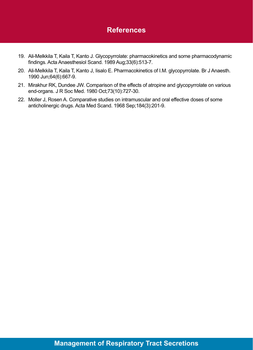- 19. Ali-Melkkila T, Kaila T, Kanto J. Glycopyrrolate: pharmacokinetics and some pharmacodynamic findings. Acta Anaesthesiol Scand. 1989 Aug;33(6):513-7.
- 20. Ali-Melkkila T, Kaila T, Kanto J, Iisalo E. Pharmacokinetics of I.M. glycopyrrolate. Br J Anaesth. 1990 Jun;64(6):667-9.
- 21. Mirakhur RK, Dundee JW. Comparison of the effects of atropine and glycopyrrolate on various end-organs. J R Soc Med. 1980 Oct;73(10):727-30.
- 22. Moller J, Rosen A. Comparative studies on intramuscular and oral effective doses of some anticholinergic drugs. Acta Med Scand. 1968 Sep;184(3):201-9.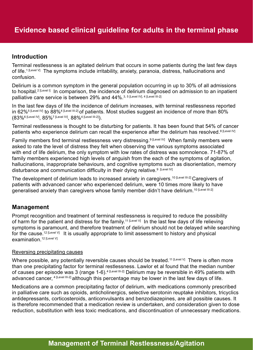### **Introduction**

Terminal restlessness is an agitated delirium that occurs in some patients during the last few days of life.<sup>1 [Level V]</sup> The symptoms include irritability, anxiety, paranoia, distress, hallucinations and confusion.

Delirium is a common symptom in the general population occurring in up to 30% of all admissions to hospital.<sup>2 [Level I]</sup> In comparison, the incidence of delirium diagnosed on admission to an inpatient palliative care service is between 29% and 44%.<sup>3, 5 [Level IV], 4 [Level III-2]</sup>

In the last few days of life the incidence of delirium increases, with terminal restlessness reported in 62%<sup>5 [Level IV]</sup> to 88%<sup>4 [Level III-2] of patients. Most studies suggest an incidence of more than 80%</sup> (83%6 [Level IV], 85%7 [Level IV], 88%4 [Level III-2]).

Terminal restlessness is thought to be disturbing for patients. It has been found that 54% of cancer patients who experience delirium can recall the experience after the delirium has resolved.<sup>8 [Level IV]</sup>

Family members find terminal restlessness very distressing.<sup>9 [Level IV]</sup> When family members were asked to rate the level of distress they felt when observing the various symptoms associated with end of life delirium, the only symptom with low rates of distress was somnolence. 71-87% of family members experienced high levels of anguish from the each of the symptoms of agitation, hallucinations, inappropriate behaviours, and cognitive symptoms such as disorientation, memory disturbance and communication difficulty in their dying relative.<sup>9 [Level M]</sup>

The development of delirium leads to increased anxiety in caregivers.<sup>10 [Level III-2]</sup> Caregivers of patients with advanced cancer who experienced delirium, were 10 times more likely to have generalised anxiety than caregivers whose family member didn't have delirium.<sup>10 [Level III-2]</sup>

### **Management**

Prompt recognition and treatment of terminal restlessness is required to reduce the possibility of harm for the patient and distress for the family.<sup>11 [Level V]</sup> In the last few days of life relieving symptoms is paramount, and therefore treatment of delirium should not be delayed while searching for the cause.<sup>12 [Level V]</sup> It is usually appropriate to limit assessment to history and physical examination 12 [Level V]

#### Reversing precipitating causes

Where possible, any potentially reversible causes should be treated.<sup>11 [Level V]</sup> There is often more than one precipitating factor for terminal restlessness. Lawlor et al found that the median number of causes per episode was 3 (range 1-6).<sup>4 [Level III-2]</sup> Delirium may be reversible in 49% patients with advanced cancer, <sup>4 [Level III-2]</sup> although this percentage may be lower in the last few days of life.

Medications are a common precipitating factor of delirium, with medications commonly prescribed in palliative care such as opioids, anticholinergics, selective serotonin reuptake inhibitors, tricyclics antidepressants, corticosteroids, anticonvulsants and benzodiazepines, are all possible causes. It is therefore recommended that a medication review is undertaken, and consideration given to dose reduction, substitution with less toxic medications, and discontinuation of unnecessary medications.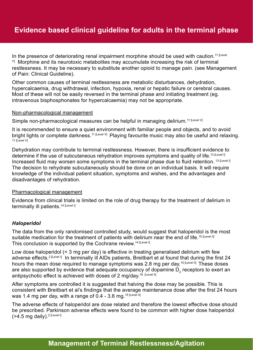In the presence of deteriorating renal impairment morphine should be used with caution.<sup>11 [Level</sup>  $V_1$  Morphine and its neurotoxic metabolites may accumulate increasing the risk of terminal restlessness. It may be necessary to substitute another opioid to manage pain. (see Management of Pain: Clinical Guideline).

Other common causes of terminal restlessness are metabolic disturbances, dehydration, hypercalcaemia, drug withdrawal, infection, hypoxia, renal or hepatic failure or cerebral causes. Most of these will not be easily reversed in the terminal phase and initiating treatment (eg. intravenous bisphosphonates for hypercalcaemia) may not be appropriate.

#### Non-pharmacological management

Simple non-pharmacological measures can be helpful in managing delirium.<sup>11 [Level V]</sup>

It is recommended to ensure a quiet environment with familiar people and objects, and to avoid bright lights or complete darkness.<sup>11 [Level V]</sup> Playing favourite music may also be useful and relaxing. 11 [Level V]

Dehydration may contribute to terminal restlessness. However, there is insufficient evidence to determine if the use of subcutaneous rehydration improves symptoms and quality of life.<sup>13 [Level I]</sup> Increased fluid may worsen some symptoms in the terminal phase due to fluid retention. <sup>13 [Level I]</sup> The decision to rehydrate subcutaneously should be done on an individual basis. It will require knowledge of the individual patient situation, symptoms and wishes, and the advantages and disadvantages of rehydration.

#### Pharmacological management

Evidence from clinical trials is limited on the role of drug therapy for the treatment of delirium in terminally ill patients.<sup>14 [Level I]</sup>

#### *Haloperidol*

The data from the only randomised controlled study, would suggest that haloperidol is the most suitable medication for the treatment of patients with delirium near the end of life.<sup>15 [Level II]</sup> This conclusion is supported by the Cochrane review.<sup>14 [Level I]</sup>

Low dose haloperidol (< 3 mg per day) is effective in treating generalised delirium with few adverse effects.<sup>2 [Level I]</sup> In terminally ill AIDs patients, Breitbart et al found that during the first 24 hours the mean dose required to manage symptoms was 2.8 mg per day.<sup>15 [Level II]</sup> These doses are also supported by evidence that adequate occupancy of dopamine  $D_2$  receptors to exert an antipsychotic effect is achieved with doses of 2 mg/day.<sup>16 [Level II]</sup>

After symptoms are controlled it is suggested that halving the dose may be possible. This is consistent with Breitbart et al's findings that the average maintenance dose after the first 24 hours was 1.4 mg per day, with a range of 0.4 - 3.6 mg.<sup>15 [Level II]</sup>

The adverse effects of haloperidol are dose related and therefore the lowest effective dose should be prescribed. Parkinson adverse effects were found to be common with higher dose haloperidol  $($ >4.5 mg daily).<sup>2 [Level I]</sup>

# **Management of Terminal Restlessness/Agitation**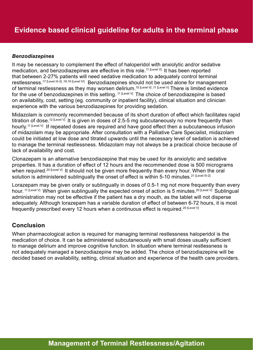#### *Benzodiazepines*

It may be necessary to complement the effect of haloperidol with anxiolytic and/or sedative medication, and benzodiazepines are effective in this role.<sup>11 [Level V]</sup> It has been reported that between 2-27% patients will need sedative medication to adequately control terminal restlessness.<sup>17</sup> [Level III-3] ,18,19 [Level IV] Benzodiazepines should not be used alone for management of terminal restlessness as they may worsen delirium.<sup>15 [Level II]</sup>,<sup>11 [Level V]</sup> There is limited evidence for the use of benzodiazepines in this setting. <sup>11 [Level V]</sup> The choice of benzodiazepine is based on availability, cost, setting (eg. community or inpatient facility), clinical situation and clinician experience with the various benzodiazepines for providing sedation.

Midazolam is commonly recommended because of its short duration of effect which facilitates rapid titration of dose.<sup>12 [Level V]</sup> It is given in doses of 2.5-5 mg subcutaneously no more frequently than hourly.<sup>11 [Level V]</sup> If repeated doses are required and have good effect then a subcutaneous infusion of midazolam may be appropriate. After consultation with a Palliative Care Specialist, midazolam could be initiated at low dose and titrated upwards until the necessary level of sedation is achieved to manage the terminal restlessness. Midazolam may not always be a practical choice because of lack of availability and cost.

Clonazepam is an alternative benzodiazepine that may be used for its anxiolytic and sedative properties. It has a duration of effect of 12 hours and the recommended dose is 500 micrograms when required.<sup>20 [Level V]</sup> It should not be given more frequently than every hour. When the oral solution is administered sublingually the onset of effect is within 5-10 minutes.<sup>21 [Level III-2]</sup>

Lorazepam may be given orally or sublingually in doses of 0.5-1 mg not more frequently than every hour. <sup>11 [Level V]</sup> When given sublingually the expected onset of action is 5 minutes.<sup>20 [Level V]</sup> Sublingual administration may not be effective if the patient has a dry mouth, as the tablet will not disperse adequately. Although lorazepam has a variable duration of effect of between 6-72 hours, it is most frequently prescribed every 12 hours when a continuous effect is required.<sup>20 [Level V]</sup>

### **Conclusion**

When pharmacological action is required for managing terminal restlessness haloperidol is the medication of choice. It can be administered subcutaneously with small doses usually sufficient to manage delirium and improve cognitive function. In situation where terminal restlessness is not adequately managed a benzodiazepine may be added. The choice of benzodiazepine will be decided based on availability, setting, clinical situation and experience of the health care providers.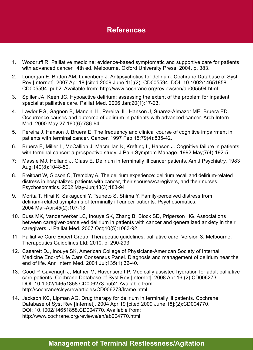- 1. Woodruff R. Palliative medicine: evidence-based symptomatic and supportive care for patients with advanced cancer. 4th ed. Melbourne. Oxford University Press; 2004. p. 383.
- 2. Lonergan E, Britton AM, Luxenberg J. Antipsychotics for delirium. Cochrane Database of Syst Rev [Internet]. 2007 Apr 18 [cited 2009 June 11];(2): CD005594. DOI: 10.1002/14651858. CD005594. pub2. Available from: http://www.cochrane.org/reviews/en/ab005594.html
- 3. Spiller JA, Keen JC. Hypoactive delirium: assessing the extent of the problem for inpatient specialist palliative care. Palliat Med. 2006 Jan;20(1):17-23.
- 4. Lawlor PG, Gagnon B, Mancini IL, Pereira JL, Hanson J, Suarez-Almazor ME, Bruera ED. Occurrence causes and outcome of delirium in patients with advanced cancer. Arch Intern Med. 2000 May 27;160(6):786-94.
- 5. Pereira J, Hanson J, Bruera E. The frequency and clinical course of cognitive impairment in patients with terminal cancer. Cancer. 1997 Feb 15;79(4):835-42.
- 6. Bruera E, Miller L, McCallion J, Macmillan K, Krefting L, Hanson J. Cognitive failure in patients with terminal cancer: a prospective study. J Pain Symptom Manage. 1992 May;7(4):192-5.
- 7: Massie MJ, Holland J, Glass E. Delirium in terminally ill cancer patients. Am J Psychiatry. 1983 Aug;140(8):1048-50.
- 8. Breitbart W, Gibson C, Tremblay A. The delirium experience: delirium recall and delirium-related distress in hospitalized patients with cancer, their spouses/caregivers, and their nurses. Psychosomatics. 2002 May-Jun;43(3):183-94
- 9. Morita T, Hirai K, Sakaguchi Y, Tsuneto S, Shima Y. Family-perceived distress from delirium-related symptoms of terminally ill cancer patients. Psychosomatics. 2004 Mar-Apr;45(2):107-13.
- 10. Buss MK, Vanderwerker LC, Inouye SK, Zhang B, Block SD, Prigerson HG. Associations between caregiver-perceived delirium in patients with cancer and generalized anxiety in their caregivers. J Palliat Med. 2007 Oct;10(5):1083-92.
- 11. Palliative Care Expert Group. Therapeutic guidelines: palliative care. Version 3. Melbourne: Therapeutics Guidelines Ltd: 2010. p. 290-293.
- 12. Casarett DJ, Inouye SK, American College of Physicians-American Society of Internal Medicine End-of-Life Care Consensus Panel. Diagnosis and management of delirium near the end of life. Ann Intern Med. 2001 Jul;135(1):32-40.
- 13. Good P, Cavenagh J, Mather M, Ravenscroft P. Medically assisted hydration for adult palliative care patients. Cochrane Database of Syst Rev [Internet]. 2008 Apr 16;(2):CD006273. DOI: 10.1002/14651858.CD006273.pub2. Available from: http://cochrane/clsysrev/articles/CD006273/frame.html
- 14. Jackson KC, Lipman AG. Drug therapy for delirium in terminally ill patients. Cochrane Database of Syst Rev [Internet]. 2004 Apr 19 [cited 2009 June 18];(2):CD004770. DOI: 10.1002/14651858.CD004770. Available from: http://www.cochrane.org/reviews/en/ab004770.html

# **Management of Terminal Restlessness/Agitation**